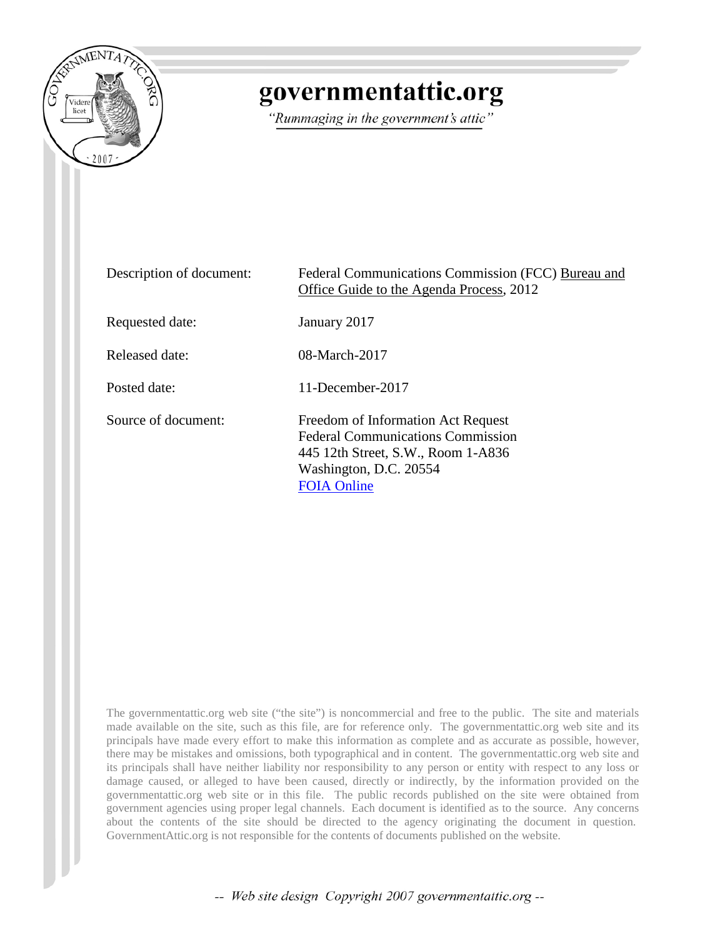

# governmentattic.org

"Rummaging in the government's attic"

| Description of document: | Federal Communications Commission (FCC) Bureau and<br>Office Guide to the Agenda Process, 2012                                                                       |
|--------------------------|----------------------------------------------------------------------------------------------------------------------------------------------------------------------|
| Requested date:          | January 2017                                                                                                                                                         |
| Released date:           | 08-March-2017                                                                                                                                                        |
| Posted date:             | 11-December-2017                                                                                                                                                     |
| Source of document:      | Freedom of Information Act Request<br><b>Federal Communications Commission</b><br>445 12th Street, S.W., Room 1-A836<br>Washington, D.C. 20554<br><b>FOIA Online</b> |

The governmentattic.org web site ("the site") is noncommercial and free to the public. The site and materials made available on the site, such as this file, are for reference only. The governmentattic.org web site and its principals have made every effort to make this information as complete and as accurate as possible, however, there may be mistakes and omissions, both typographical and in content. The governmentattic.org web site and its principals shall have neither liability nor responsibility to any person or entity with respect to any loss or damage caused, or alleged to have been caused, directly or indirectly, by the information provided on the governmentattic.org web site or in this file. The public records published on the site were obtained from government agencies using proper legal channels. Each document is identified as to the source. Any concerns about the contents of the site should be directed to the agency originating the document in question. GovernmentAttic.org is not responsible for the contents of documents published on the website.

-- Web site design Copyright 2007 governmentattic.org --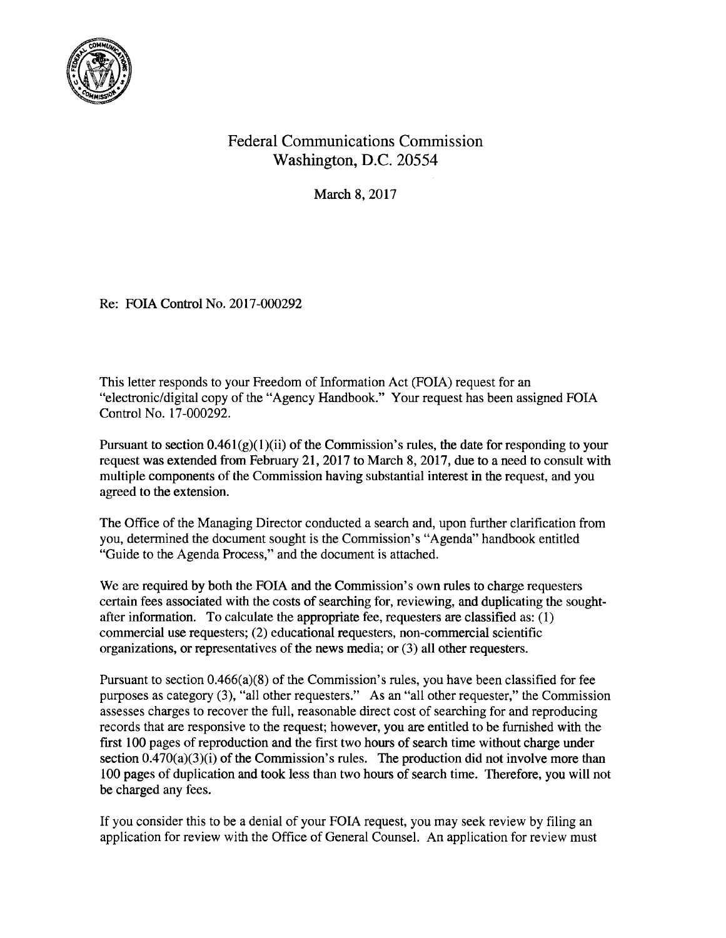

# Federal Communications Commission Washington, D.C. 20554

March 8, 2017

Re: FOIA Control No. 2017-000292

This letter responds to your Freedom of Information Act (FOIA) request for an "electronic/digital copy of the "Agency Handbook." Your request has been assigned FOIA Control No. 17-000292.

Pursuant to section  $0.461(g)(1)(ii)$  of the Commission's rules, the date for responding to your request was extended from February 21, 2017 to March 8, 2017, due to a need to consult with multiple components of the Commission having substantial interest in the request, and you agreed to the extension.

The Office of the Managing Director conducted a search and, upon further clarification from you, determined the document sought is the Commission's "Agenda" handbook entitled "Guide to the Agenda Process," and the document is attached.

We are required by both the FOIA and the Commission's own rules to charge requesters certain fees associated with the costs of searching for, reviewing, and duplicating the soughtafter information. To calculate the appropriate fee, requesters are classified as: ( 1) commercial use requesters; (2) educational requesters, non-commercial scientific organizations, or representatives of the news media; or (3) all other requesters.

Pursuant to section 0.466(a)(8) of the Commission's rules, you have been classified for fee purposes as category (3), "all other requesters." As an "all other requester," the Commission assesses charges to recover the full, reasonable direct cost of searching for and reproducing records that are responsive to the request; however, you are entitled to be furnished with the first 100 pages of reproduction and the first two hours of search time without charge under section  $0.470(a)(3)(i)$  of the Commission's rules. The production did not involve more than 100 pages of duplication and took less than two hours of search time. Therefore, you will not be charged any fees.

If you consider this to be a denial of your FOIA request, you may seek review by filing an application for review with the Office of General Counsel. An application for review must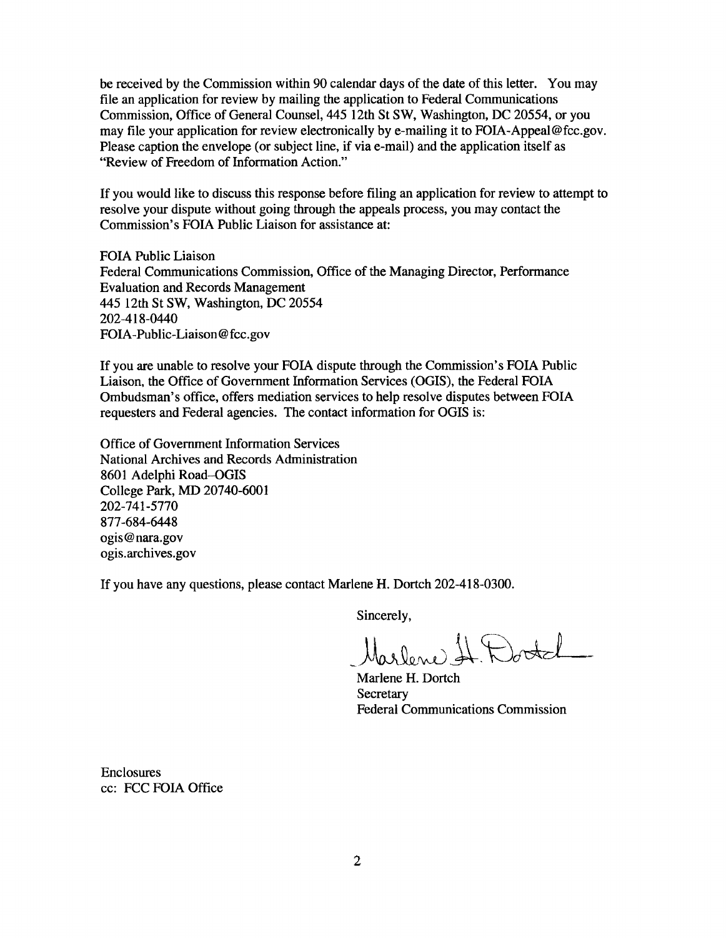be received by the Commission within 90 calendar days of the date of this letter. You may file an application for review by mailing the application to Federal Communications Commission, Office of General Counsel, 445 12th St SW, Washington, DC 20554, or you may file your application for review electronically by e-mailing it to FOIA-Appeal@fcc.gov. Please caption the envelope (or subject line, if via e-mail) and the application itself as "Review of Freedom of Information Action."

If you would like to discuss this response before filing an application for review to attempt to resolve your dispute without going through the appeals process, you may contact the Commission's FOIA Public Liaison for assistance at:

FOIA Public Liaison Federal Communications Commission, Office of the Managing Director, Performance Evaluation and Records Management 445 12th St SW, Washington, DC 20554 202-418-0440 FOIA-Public-Liaison@fcc.gov

If you are unable to resolve your FOIA dispute through the Commission's FOIA Public Liaison, the Office of Government Information Services (OGIS), the Federal FOIA Ombudsman's office, offers mediation services to help resolve disputes between FOIA requesters and Federal agencies. The contact information for OGIS is:

Office of Government Information Services National Archives and Records Administration 8601 Adelphi Road-OGIS College Park, MD 20740-6001 202-741-5770 877-684-6448 ogis@nara.gov ogis.archives.gov

If you have any questions, please contact Marlene H. Dortch 202-418-0300.

Sincerely,

1 Doctel Marlene.

Marlene H. Dortch **Secretary** Federal Communications Commission

Enclosures cc: FCC FOIA Office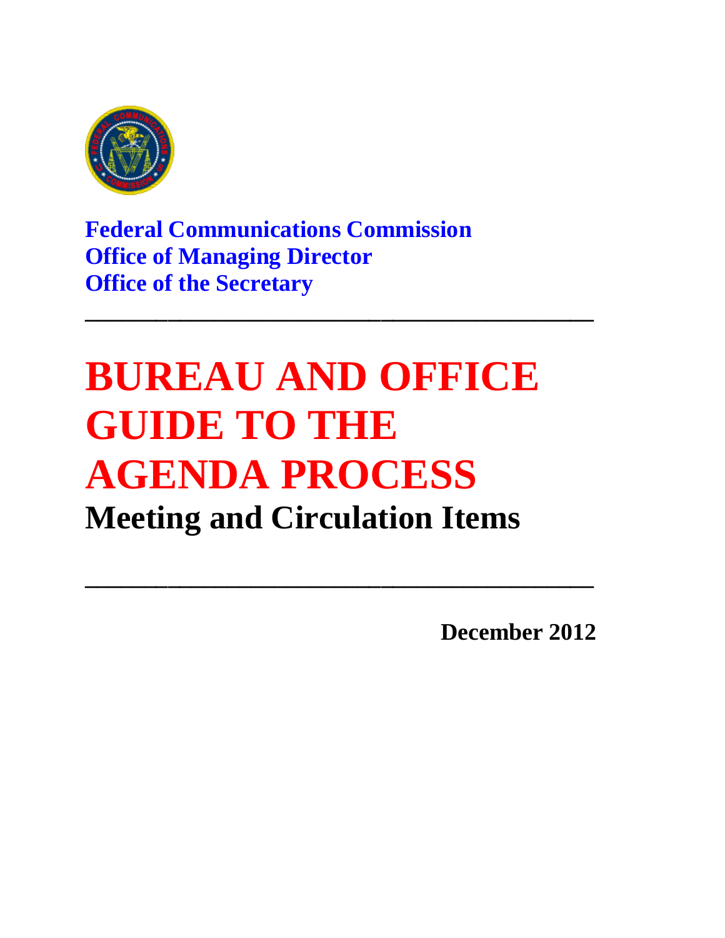

**Federal Communications Commission Office of Managing Director Office of the Secretary**

# **BUREAU AND OFFICE GUIDE TO THE AGENDA PROCESS Meeting and Circulation Items**

**\_\_\_\_\_\_\_\_\_\_\_\_\_\_\_\_\_\_\_\_\_\_\_\_\_\_\_\_\_\_\_\_\_\_\_\_\_\_\_\_\_\_\_**

**\_\_\_\_\_\_\_\_\_\_\_\_\_\_\_\_\_\_\_\_\_\_\_\_\_\_\_\_\_\_\_\_\_\_\_\_\_\_\_\_\_\_\_**

**December 2012**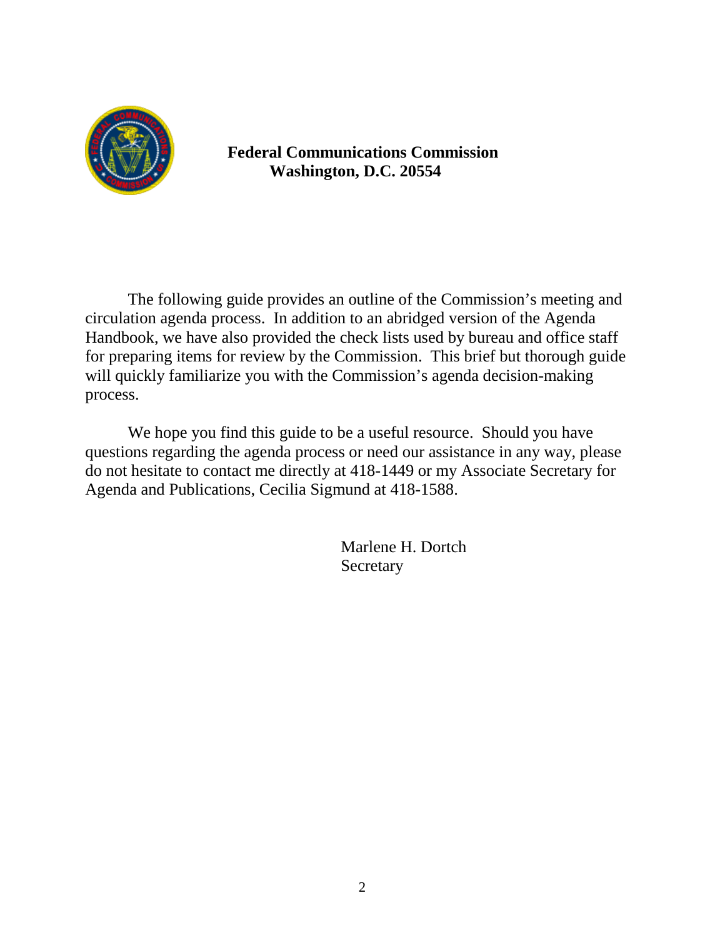

# **Federal Communications Commission Washington, D.C. 20554**

The following guide provides an outline of the Commission's meeting and circulation agenda process. In addition to an abridged version of the Agenda Handbook, we have also provided the check lists used by bureau and office staff for preparing items for review by the Commission. This brief but thorough guide will quickly familiarize you with the Commission's agenda decision-making process.

We hope you find this guide to be a useful resource. Should you have questions regarding the agenda process or need our assistance in any way, please do not hesitate to contact me directly at 418-1449 or my Associate Secretary for Agenda and Publications, Cecilia Sigmund at 418-1588.

> Marlene H. Dortch Secretary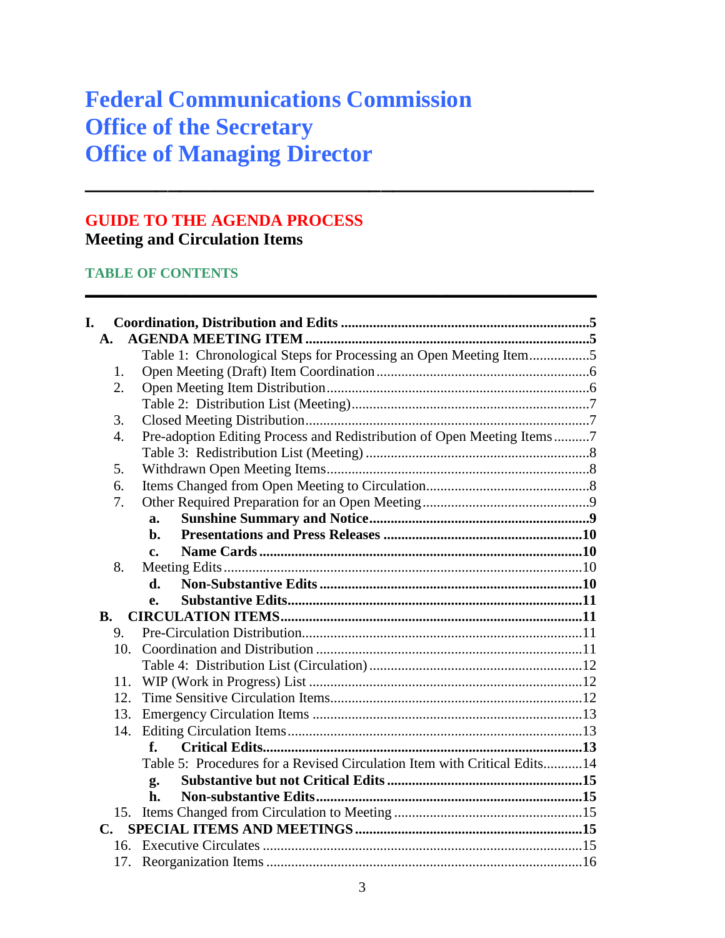# **Federal Communications Commission Office of the Secretary Office of Managing Director**

**\_\_\_\_\_\_\_\_\_\_\_\_\_\_\_\_\_\_\_\_\_\_\_\_\_\_\_\_\_\_\_\_\_\_\_\_\_\_\_\_\_\_\_**

**\_\_\_\_\_\_\_\_\_\_\_\_\_\_\_\_\_\_\_\_\_\_\_\_\_\_\_\_\_\_\_\_\_\_\_\_\_\_\_\_\_\_\_\_\_\_\_\_\_\_\_\_\_\_\_\_\_\_\_\_\_\_\_\_\_\_\_\_\_\_\_\_**

# **GUIDE TO THE AGENDA PROCESS Meeting and Circulation Items**

# **TABLE OF CONTENTS**

| I.<br>A.  |                                                                          |  |
|-----------|--------------------------------------------------------------------------|--|
|           | Table 1: Chronological Steps for Processing an Open Meeting Item5        |  |
| 1.        |                                                                          |  |
| 2.        |                                                                          |  |
|           |                                                                          |  |
| 3.        |                                                                          |  |
| 4.        | Pre-adoption Editing Process and Redistribution of Open Meeting Items7   |  |
|           |                                                                          |  |
| 5.        |                                                                          |  |
| 6.        |                                                                          |  |
| 7.        |                                                                          |  |
|           | a.                                                                       |  |
|           | h.                                                                       |  |
|           | c.                                                                       |  |
| 8.        |                                                                          |  |
|           | d.                                                                       |  |
|           | е.                                                                       |  |
| <b>B.</b> |                                                                          |  |
| 9.        |                                                                          |  |
| 10.       |                                                                          |  |
|           |                                                                          |  |
|           |                                                                          |  |
| 11.       |                                                                          |  |
| 12.       |                                                                          |  |
| 13.       |                                                                          |  |
| 14.       |                                                                          |  |
|           | f.                                                                       |  |
|           | Table 5: Procedures for a Revised Circulation Item with Critical Edits14 |  |
|           | g.                                                                       |  |
|           | h.                                                                       |  |
|           |                                                                          |  |
| C.        |                                                                          |  |
|           |                                                                          |  |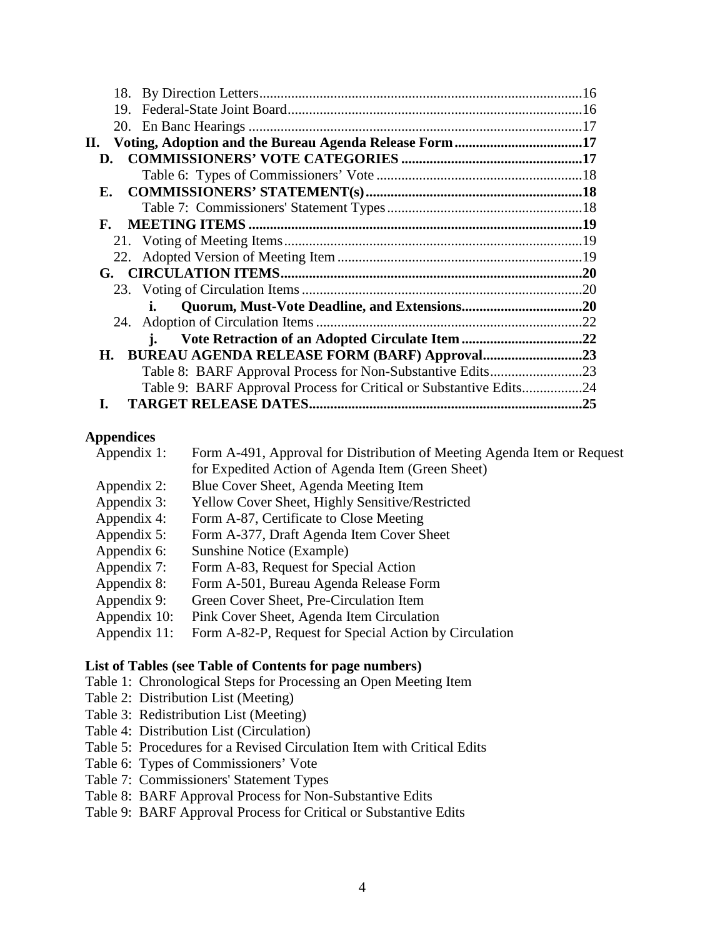| 19.                                                                |  |
|--------------------------------------------------------------------|--|
|                                                                    |  |
|                                                                    |  |
| D.                                                                 |  |
|                                                                    |  |
| Е.                                                                 |  |
|                                                                    |  |
|                                                                    |  |
|                                                                    |  |
|                                                                    |  |
|                                                                    |  |
|                                                                    |  |
|                                                                    |  |
|                                                                    |  |
| i.                                                                 |  |
| H. BUREAU AGENDA RELEASE FORM (BARF) Approval23                    |  |
|                                                                    |  |
| Table 9: BARF Approval Process for Critical or Substantive Edits24 |  |
|                                                                    |  |

#### **Appendices**

| Appendix 1:  | Form A-491, Approval for Distribution of Meeting Agenda Item or Request |
|--------------|-------------------------------------------------------------------------|
|              | for Expedited Action of Agenda Item (Green Sheet)                       |
| Appendix 2:  | Blue Cover Sheet, Agenda Meeting Item                                   |
| Appendix 3:  | <b>Yellow Cover Sheet, Highly Sensitive/Restricted</b>                  |
| Appendix 4:  | Form A-87, Certificate to Close Meeting                                 |
| Appendix 5:  | Form A-377, Draft Agenda Item Cover Sheet                               |
| Appendix 6:  | Sunshine Notice (Example)                                               |
| Appendix 7:  | Form A-83, Request for Special Action                                   |
| Appendix 8:  | Form A-501, Bureau Agenda Release Form                                  |
| Appendix 9:  | Green Cover Sheet, Pre-Circulation Item                                 |
| Appendix 10: | Pink Cover Sheet, Agenda Item Circulation                               |
| Appendix 11: | Form A-82-P, Request for Special Action by Circulation                  |
|              |                                                                         |

#### **List of Tables (see Table of Contents for page numbers)**

- [Table 1: Chronological Steps for Processing an Open Meeting Item](#page-7-0)
- [Table 2: Distribution List \(Meeting\)](#page-9-0)
- [Table 3: Redistribution List \(Meeting\)](#page-10-0)
- [Table 4: Distribution List \(Circulation\)](#page-14-0)
- [Table 5: Procedures for a Revised Circulation Item with Critical Edits](#page-16-0)
- [Table 6: Types of Commissioners' Vote](#page-20-0)
- [Table 7: Commissioners' Statement Types](#page-20-1)
- [Table 8: BARF Approval Process for Non-Substantive Edits](#page-25-0)
- [Table 9: BARF Approval Process for Critical or Substantive Edits](#page-26-0)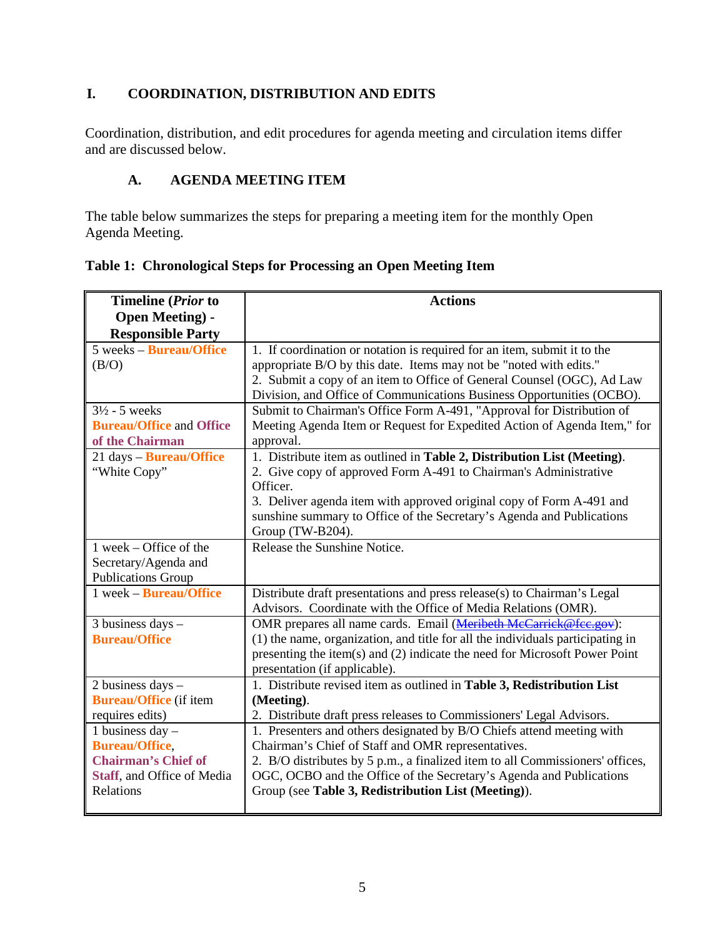# **I. COORDINATION, DISTRIBUTION AND EDITS**

Coordination, distribution, and edit procedures for agenda meeting and circulation items differ and are discussed below.

#### **A. AGENDA MEETING ITEM**

The table below summarizes the steps for preparing a meeting item for the monthly Open Agenda Meeting.

<span id="page-7-0"></span>**Table 1: Chronological Steps for Processing an Open Meeting Item**

| Timeline (Prior to              | <b>Actions</b>                                                                 |
|---------------------------------|--------------------------------------------------------------------------------|
| <b>Open Meeting) -</b>          |                                                                                |
| <b>Responsible Party</b>        |                                                                                |
| 5 weeks – <b>Bureau/Office</b>  | 1. If coordination or notation is required for an item, submit it to the       |
| (B/O)                           | appropriate B/O by this date. Items may not be "noted with edits."             |
|                                 | 2. Submit a copy of an item to Office of General Counsel (OGC), Ad Law         |
|                                 | Division, and Office of Communications Business Opportunities (OCBO).          |
| $3\frac{1}{2}$ - 5 weeks        | Submit to Chairman's Office Form A-491, "Approval for Distribution of          |
| <b>Bureau/Office and Office</b> | Meeting Agenda Item or Request for Expedited Action of Agenda Item," for       |
| of the Chairman                 | approval.                                                                      |
| 21 days - Bureau/Office         | 1. Distribute item as outlined in Table 2, Distribution List (Meeting).        |
| "White Copy"                    | 2. Give copy of approved Form A-491 to Chairman's Administrative               |
|                                 | Officer.                                                                       |
|                                 | 3. Deliver agenda item with approved original copy of Form A-491 and           |
|                                 | sunshine summary to Office of the Secretary's Agenda and Publications          |
|                                 | Group (TW-B204).                                                               |
| 1 week – Office of the          | Release the Sunshine Notice.                                                   |
| Secretary/Agenda and            |                                                                                |
| <b>Publications Group</b>       |                                                                                |
| 1 week – <b>Bureau/Office</b>   | Distribute draft presentations and press release(s) to Chairman's Legal        |
|                                 | Advisors. Coordinate with the Office of Media Relations (OMR).                 |
| 3 business days -               | OMR prepares all name cards. Email (Meribeth McCarrick@fcc.gov):               |
| <b>Bureau/Office</b>            | (1) the name, organization, and title for all the individuals participating in |
|                                 | presenting the item(s) and (2) indicate the need for Microsoft Power Point     |
|                                 | presentation (if applicable).                                                  |
| 2 business days -               | 1. Distribute revised item as outlined in Table 3, Redistribution List         |
| <b>Bureau/Office</b> (if item   | (Meeting).                                                                     |
| requires edits)                 | 2. Distribute draft press releases to Commissioners' Legal Advisors.           |
| 1 business day $-$              | 1. Presenters and others designated by B/O Chiefs attend meeting with          |
| <b>Bureau/Office,</b>           | Chairman's Chief of Staff and OMR representatives.                             |
| <b>Chairman's Chief of</b>      | 2. B/O distributes by 5 p.m., a finalized item to all Commissioners' offices,  |
| Staff, and Office of Media      | OGC, OCBO and the Office of the Secretary's Agenda and Publications            |
| Relations                       | Group (see Table 3, Redistribution List (Meeting)).                            |
|                                 |                                                                                |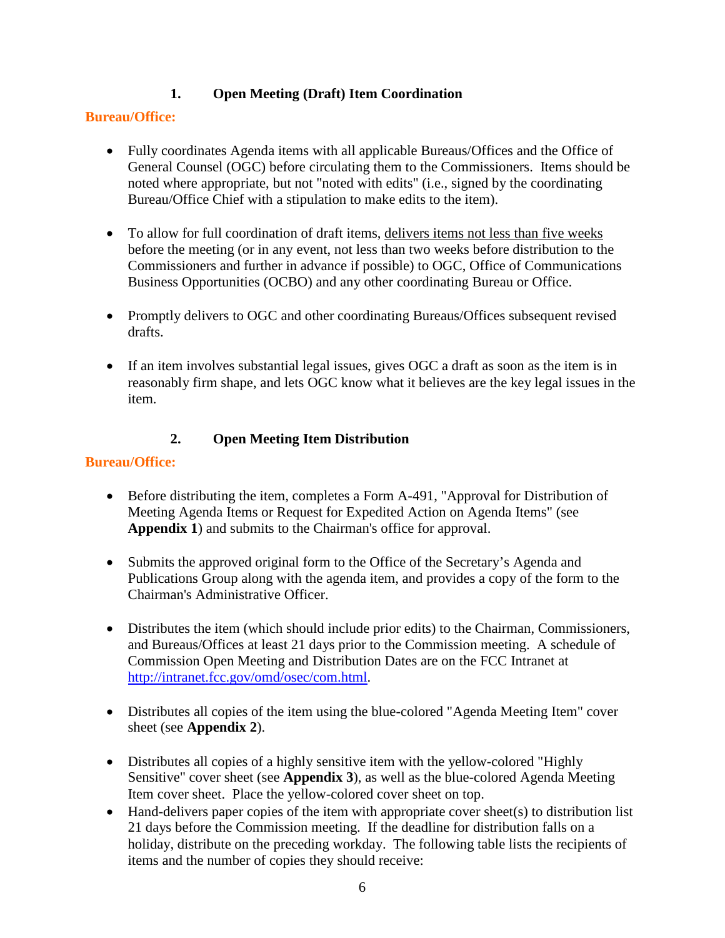# **1. Open Meeting (Draft) Item Coordination**

#### **Bureau/Office:**

- Fully coordinates Agenda items with all applicable Bureaus/Offices and the Office of General Counsel (OGC) before circulating them to the Commissioners. Items should be noted where appropriate, but not "noted with edits" (i.e., signed by the coordinating Bureau/Office Chief with a stipulation to make edits to the item).
- To allow for full coordination of draft items, delivers items not less than five weeks before the meeting (or in any event, not less than two weeks before distribution to the Commissioners and further in advance if possible) to OGC, Office of Communications Business Opportunities (OCBO) and any other coordinating Bureau or Office.
- Promptly delivers to OGC and other coordinating Bureaus/Offices subsequent revised drafts.
- If an item involves substantial legal issues, gives OGC a draft as soon as the item is in reasonably firm shape, and lets OGC know what it believes are the key legal issues in the item.

# **2. Open Meeting Item Distribution**

# **Bureau/Office:**

- Before distributing the item, completes a Form A-491, "Approval for Distribution of Meeting Agenda Items or Request for Expedited Action on Agenda Items" (see **Appendix 1**) and submits to the Chairman's office for approval.
- Submits the approved original form to the Office of the Secretary's Agenda and Publications Group along with the agenda item, and provides a copy of the form to the Chairman's Administrative Officer.
- Distributes the item (which should include prior edits) to the Chairman, Commissioners, and Bureaus/Offices at least 21 days prior to the Commission meeting. A schedule of Commission Open Meeting and Distribution Dates are on the FCC Intranet at [http://intranet.fcc.gov/omd/osec/com.html.](http://intranet.fcc.gov/omd/osec/com.html)
- Distributes all copies of the item using the blue-colored "Agenda Meeting Item" cover sheet (see **Appendix 2**).
- Distributes all copies of a highly sensitive item with the yellow-colored "Highly" Sensitive" cover sheet (see **Appendix 3**), as well as the blue-colored Agenda Meeting Item cover sheet. Place the yellow-colored cover sheet on top.
- Hand-delivers paper copies of the item with appropriate cover sheet(s) to distribution list 21 days before the Commission meeting. If the deadline for distribution falls on a holiday, distribute on the preceding workday. The following table lists the recipients of items and the number of copies they should receive: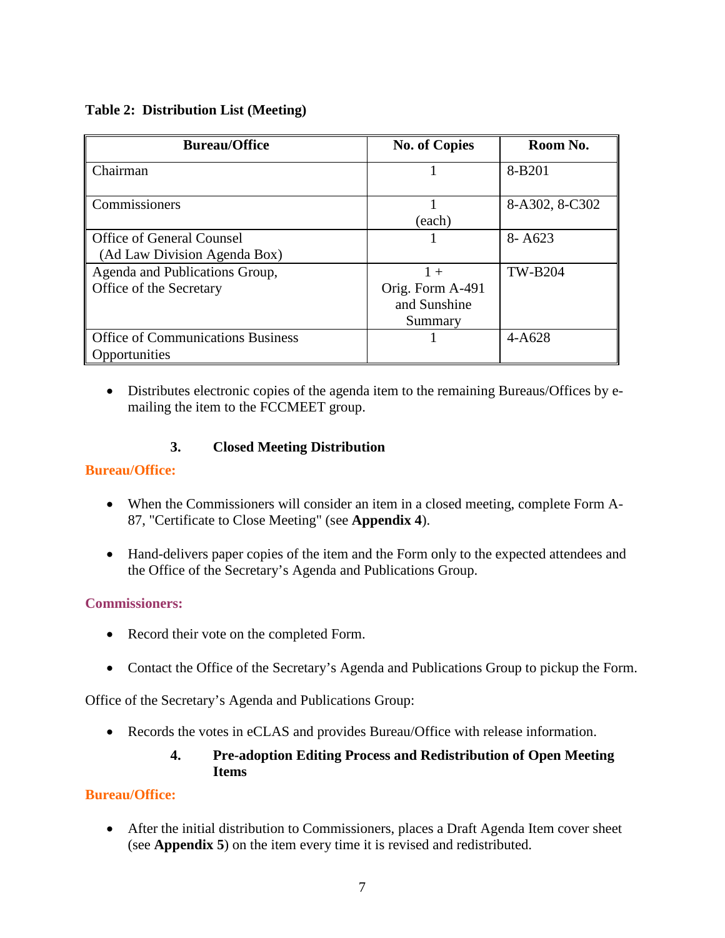#### <span id="page-9-0"></span>**Table 2: Distribution List (Meeting)**

| <b>Bureau/Office</b>                     | <b>No. of Copies</b> | Room No.       |
|------------------------------------------|----------------------|----------------|
| Chairman                                 |                      | 8-B201         |
| Commissioners                            | (each)               | 8-A302, 8-C302 |
| <b>Office of General Counsel</b>         |                      | $8 - A623$     |
| (Ad Law Division Agenda Box)             |                      |                |
| Agenda and Publications Group,           | $1 +$                | <b>TW-B204</b> |
| Office of the Secretary                  | Orig. Form A-491     |                |
|                                          | and Sunshine         |                |
|                                          | Summary              |                |
| <b>Office of Communications Business</b> |                      | $4 - A628$     |
| Opportunities                            |                      |                |

• Distributes electronic copies of the agenda item to the remaining Bureaus/Offices by emailing the item to the FCCMEET group.

#### **3. Closed Meeting Distribution**

#### **Bureau/Office:**

- When the Commissioners will consider an item in a closed meeting, complete Form A-87, "Certificate to Close Meeting" (see **Appendix 4**).
- Hand-delivers paper copies of the item and the Form only to the expected attendees and the Office of the Secretary's Agenda and Publications Group.

#### **Commissioners:**

- Record their vote on the completed Form.
- Contact the Office of the Secretary's Agenda and Publications Group to pickup the Form.

Office of the Secretary's Agenda and Publications Group:

• Records the votes in eCLAS and provides Bureau/Office with release information.

#### **4. Pre-adoption Editing Process and Redistribution of Open Meeting Items**

#### **Bureau/Office:**

• After the initial distribution to Commissioners, places a Draft Agenda Item cover sheet (see **Appendix 5**) on the item every time it is revised and redistributed.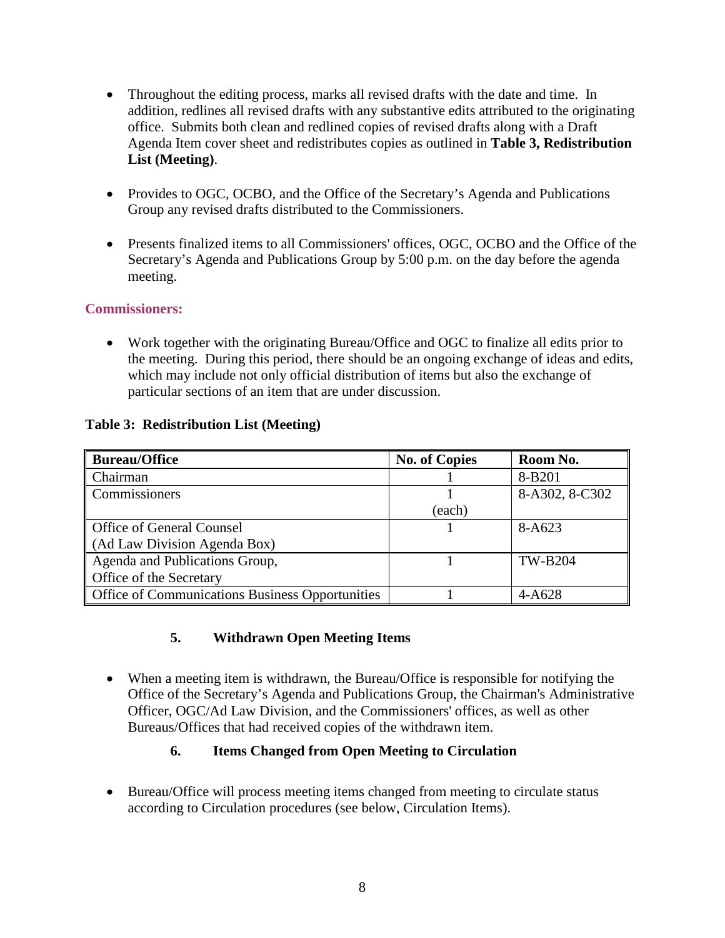- Throughout the editing process, marks all revised drafts with the date and time. In addition, redlines all revised drafts with any substantive edits attributed to the originating office. Submits both clean and redlined copies of revised drafts along with a Draft Agenda Item cover sheet and redistributes copies as outlined in **Table 3, Redistribution List (Meeting)**.
- Provides to OGC, OCBO, and the Office of the Secretary's Agenda and Publications Group any revised drafts distributed to the Commissioners.
- Presents finalized items to all Commissioners' offices, OGC, OCBO and the Office of the Secretary's Agenda and Publications Group by 5:00 p.m. on the day before the agenda meeting.

#### **Commissioners:**

• Work together with the originating Bureau/Office and OGC to finalize all edits prior to the meeting. During this period, there should be an ongoing exchange of ideas and edits, which may include not only official distribution of items but also the exchange of particular sections of an item that are under discussion.

#### <span id="page-10-0"></span>**Table 3: Redistribution List (Meeting)**

| <b>Bureau/Office</b>                            | <b>No. of Copies</b> | Room No.       |
|-------------------------------------------------|----------------------|----------------|
| Chairman                                        |                      | 8-B201         |
| Commissioners                                   |                      | 8-A302, 8-C302 |
|                                                 | (each)               |                |
| Office of General Counsel                       |                      | 8-A623         |
| (Ad Law Division Agenda Box)                    |                      |                |
| Agenda and Publications Group,                  |                      | <b>TW-B204</b> |
| Office of the Secretary                         |                      |                |
| Office of Communications Business Opportunities |                      | $4 - A628$     |

# **5. Withdrawn Open Meeting Items**

• When a meeting item is withdrawn, the Bureau/Office is responsible for notifying the Office of the Secretary's Agenda and Publications Group, the Chairman's Administrative Officer, OGC/Ad Law Division, and the Commissioners' offices, as well as other Bureaus/Offices that had received copies of the withdrawn item.

# **6. Items Changed from Open Meeting to Circulation**

• Bureau/Office will process meeting items changed from meeting to circulate status according to Circulation procedures (see below, Circulation Items).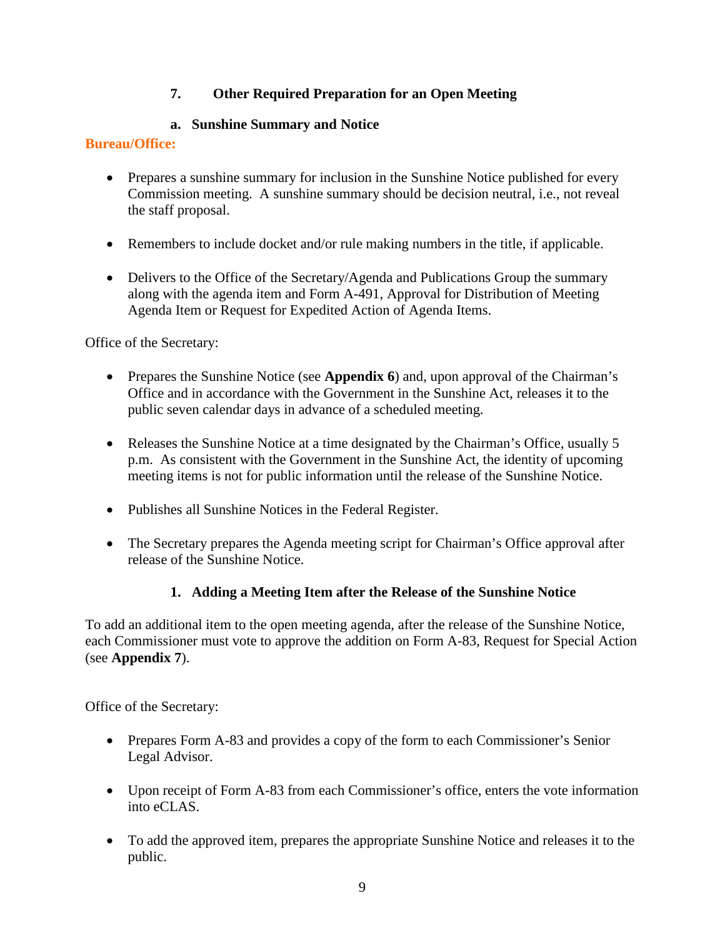# **7. Other Required Preparation for an Open Meeting**

# **a. Sunshine Summary and Notice**

#### **Bureau/Office:**

- Prepares a sunshine summary for inclusion in the Sunshine Notice published for every Commission meeting. A sunshine summary should be decision neutral, i.e., not reveal the staff proposal.
- Remembers to include docket and/or rule making numbers in the title, if applicable.
- Delivers to the Office of the Secretary/Agenda and Publications Group the summary along with the agenda item and Form A-491, Approval for Distribution of Meeting Agenda Item or Request for Expedited Action of Agenda Items.

Office of the Secretary:

- Prepares the Sunshine Notice (see **Appendix 6**) and, upon approval of the Chairman's Office and in accordance with the Government in the Sunshine Act, releases it to the public seven calendar days in advance of a scheduled meeting.
- Releases the Sunshine Notice at a time designated by the Chairman's Office, usually 5 p.m. As consistent with the Government in the Sunshine Act, the identity of upcoming meeting items is not for public information until the release of the Sunshine Notice.
- Publishes all Sunshine Notices in the Federal Register.
- The Secretary prepares the Agenda meeting script for Chairman's Office approval after release of the Sunshine Notice.

# **1. Adding a Meeting Item after the Release of the Sunshine Notice**

To add an additional item to the open meeting agenda, after the release of the Sunshine Notice, each Commissioner must vote to approve the addition on Form A-83, Request for Special Action (see **Appendix 7**).

Office of the Secretary:

- Prepares Form A-83 and provides a copy of the form to each Commissioner's Senior Legal Advisor.
- Upon receipt of Form A-83 from each Commissioner's office, enters the vote information into eCLAS.
- To add the approved item, prepares the appropriate Sunshine Notice and releases it to the public.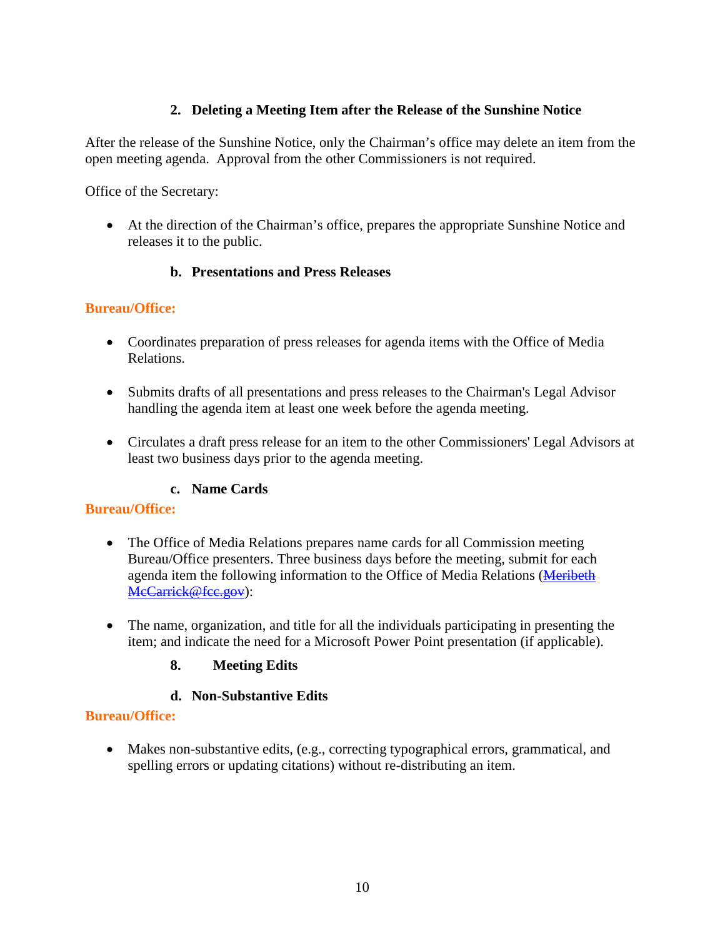#### **2. Deleting a Meeting Item after the Release of the Sunshine Notice**

After the release of the Sunshine Notice, only the Chairman's office may delete an item from the open meeting agenda. Approval from the other Commissioners is not required.

Office of the Secretary:

• At the direction of the Chairman's office, prepares the appropriate Sunshine Notice and releases it to the public.

#### **b. Presentations and Press Releases**

#### **Bureau/Office:**

- Coordinates preparation of press releases for agenda items with the Office of Media Relations.
- Submits drafts of all presentations and press releases to the Chairman's Legal Advisor handling the agenda item at least one week before the agenda meeting.
- Circulates a draft press release for an item to the other Commissioners' Legal Advisors at least two business days prior to the agenda meeting.

#### **c. Name Cards**

#### **Bureau/Office:**

- The Office of Media Relations prepares name cards for all Commission meeting Bureau/Office presenters. Three business days before the meeting, submit for each agenda item the following information to the Office of Media Relations [\(Meribeth](mailto:Meribeth.McCarrick@fcc.gov)  [McCarrick@fcc.gov\)](mailto:Meribeth.McCarrick@fcc.gov):
- The name, organization, and title for all the individuals participating in presenting the item; and indicate the need for a Microsoft Power Point presentation (if applicable).

#### **8. Meeting Edits**

#### **d. Non-Substantive Edits**

#### **Bureau/Office:**

• Makes non-substantive edits, (e.g., correcting typographical errors, grammatical, and spelling errors or updating citations) without re-distributing an item.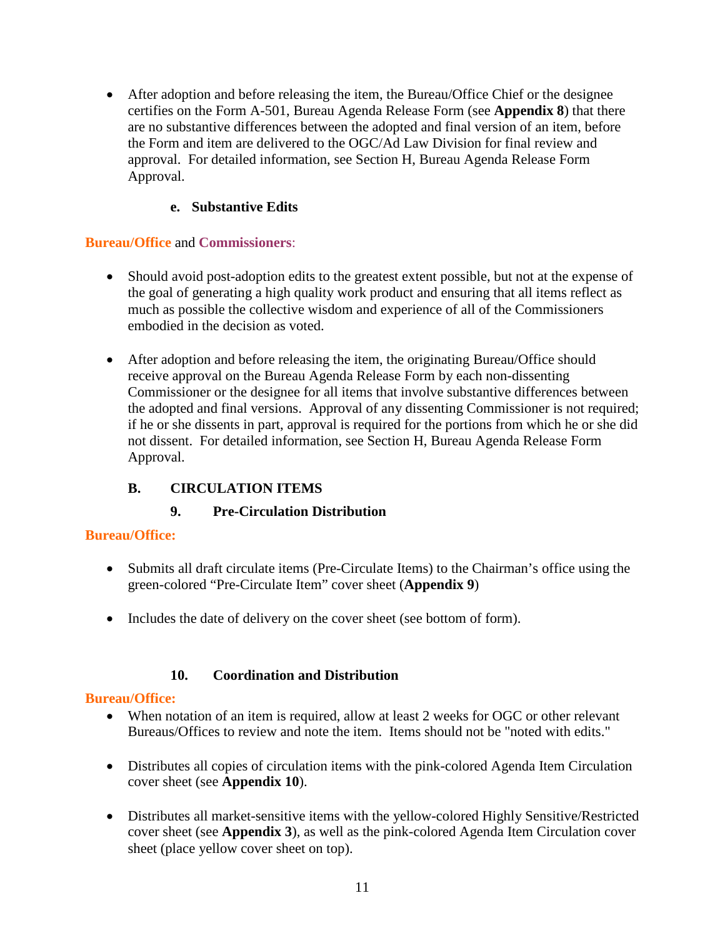• After adoption and before releasing the item, the Bureau/Office Chief or the designee certifies on the Form A-501, Bureau Agenda Release Form (see **Appendix 8**) that there are no substantive differences between the adopted and final version of an item, before the Form and item are delivered to the OGC/Ad Law Division for final review and approval. For detailed information, see Section H, Bureau Agenda Release Form Approval.

# **e. Substantive Edits**

#### **Bureau/Office** and **Commissioners**:

- Should avoid post-adoption edits to the greatest extent possible, but not at the expense of the goal of generating a high quality work product and ensuring that all items reflect as much as possible the collective wisdom and experience of all of the Commissioners embodied in the decision as voted.
- After adoption and before releasing the item, the originating Bureau/Office should receive approval on the Bureau Agenda Release Form by each non-dissenting Commissioner or the designee for all items that involve substantive differences between the adopted and final versions. Approval of any dissenting Commissioner is not required; if he or she dissents in part, approval is required for the portions from which he or she did not dissent. For detailed information, see Section H, Bureau Agenda Release Form Approval.

# **B. CIRCULATION ITEMS**

# **9. Pre-Circulation Distribution**

#### **Bureau/Office:**

- Submits all draft circulate items (Pre-Circulate Items) to the Chairman's office using the green-colored "Pre-Circulate Item" cover sheet (**Appendix 9**)
- Includes the date of delivery on the cover sheet (see bottom of form).

#### **10. Coordination and Distribution**

#### **Bureau/Office:**

- When notation of an item is required, allow at least 2 weeks for OGC or other relevant Bureaus/Offices to review and note the item. Items should not be "noted with edits."
- Distributes all copies of circulation items with the pink-colored Agenda Item Circulation cover sheet (see **Appendix 10**).
- Distributes all market-sensitive items with the yellow-colored Highly Sensitive/Restricted cover sheet (see **Appendix 3**), as well as the pink-colored Agenda Item Circulation cover sheet (place yellow cover sheet on top).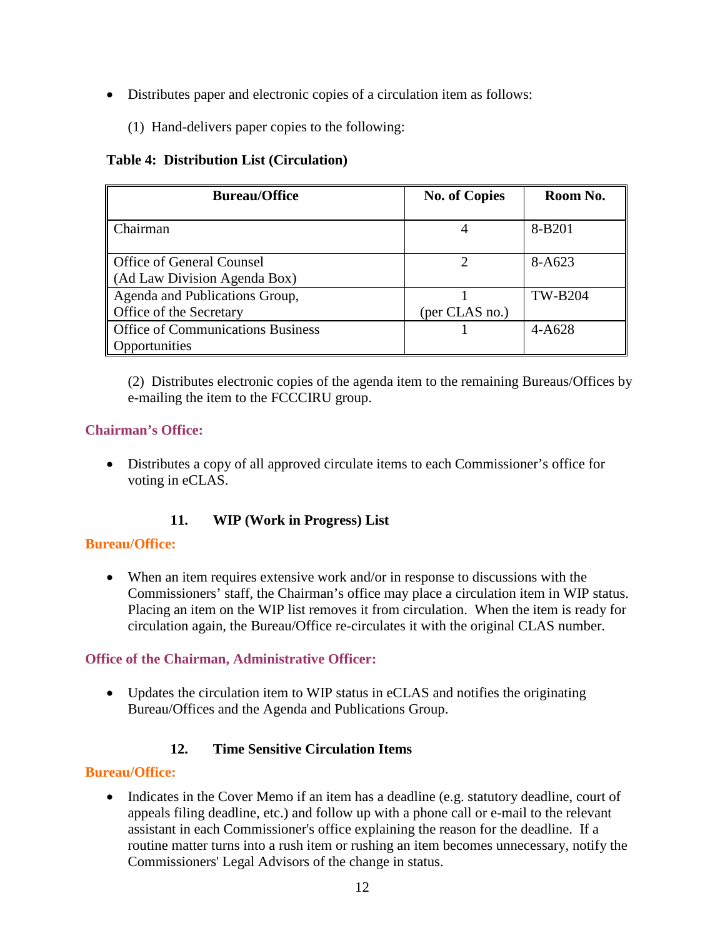- Distributes paper and electronic copies of a circulation item as follows:
	- (1) Hand-delivers paper copies to the following:

#### <span id="page-14-0"></span>**Table 4: Distribution List (Circulation)**

| <b>Bureau/Office</b>                                             | <b>No. of Copies</b> | Room No.       |
|------------------------------------------------------------------|----------------------|----------------|
| Chairman                                                         |                      | 8-B201         |
| <b>Office of General Counsel</b><br>(Ad Law Division Agenda Box) |                      | 8-A623         |
| Agenda and Publications Group,<br>Office of the Secretary        | (per CLAS no.)       | <b>TW-B204</b> |
| <b>Office of Communications Business</b><br>Opportunities        |                      | $4 - A628$     |

(2) Distributes electronic copies of the agenda item to the remaining Bureaus/Offices by e-mailing the item to the FCCCIRU group.

#### **Chairman's Office:**

• Distributes a copy of all approved circulate items to each Commissioner's office for voting in eCLAS.

# **11. WIP (Work in Progress) List**

#### **Bureau/Office:**

• When an item requires extensive work and/or in response to discussions with the Commissioners' staff, the Chairman's office may place a circulation item in WIP status. Placing an item on the WIP list removes it from circulation. When the item is ready for circulation again, the Bureau/Office re-circulates it with the original CLAS number.

#### **Office of the Chairman, Administrative Officer:**

• Updates the circulation item to WIP status in eCLAS and notifies the originating Bureau/Offices and the Agenda and Publications Group.

# **12. Time Sensitive Circulation Items**

#### **Bureau/Office:**

• Indicates in the Cover Memo if an item has a deadline (e.g. statutory deadline, court of appeals filing deadline, etc.) and follow up with a phone call or e-mail to the relevant assistant in each Commissioner's office explaining the reason for the deadline. If a routine matter turns into a rush item or rushing an item becomes unnecessary, notify the Commissioners' Legal Advisors of the change in status.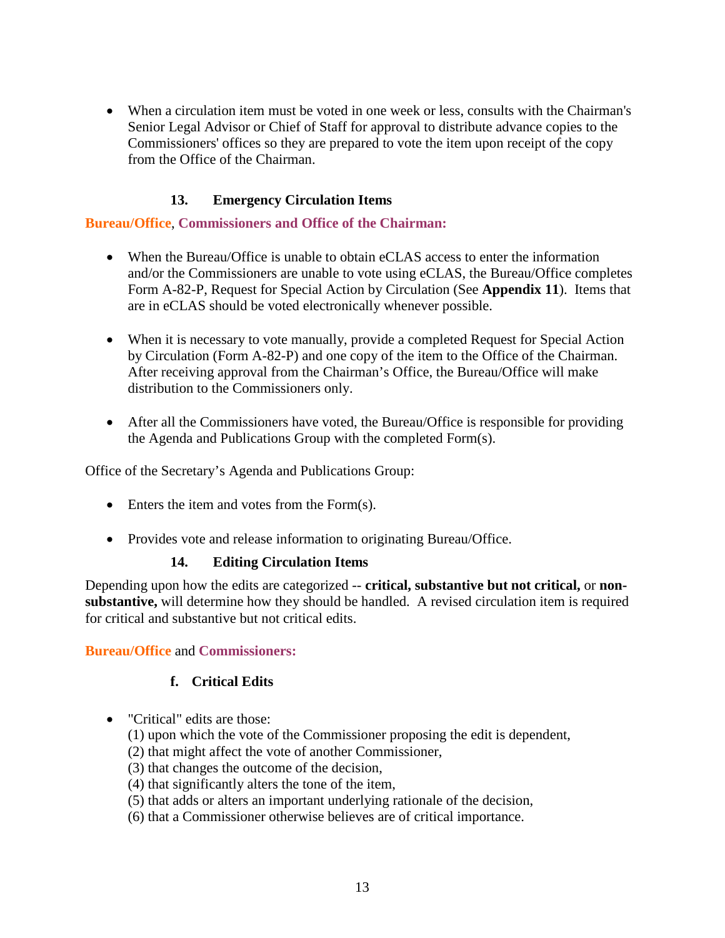• When a circulation item must be voted in one week or less, consults with the Chairman's Senior Legal Advisor or Chief of Staff for approval to distribute advance copies to the Commissioners' offices so they are prepared to vote the item upon receipt of the copy from the Office of the Chairman.

#### **13. Emergency Circulation Items**

#### **Bureau/Office**, **Commissioners and Office of the Chairman:**

- When the Bureau/Office is unable to obtain eCLAS access to enter the information and/or the Commissioners are unable to vote using eCLAS, the Bureau/Office completes Form A-82-P, Request for Special Action by Circulation (See **Appendix 11**). Items that are in eCLAS should be voted electronically whenever possible.
- When it is necessary to vote manually, provide a completed Request for Special Action by Circulation (Form A-82-P) and one copy of the item to the Office of the Chairman. After receiving approval from the Chairman's Office, the Bureau/Office will make distribution to the Commissioners only.
- After all the Commissioners have voted, the Bureau/Office is responsible for providing the Agenda and Publications Group with the completed Form(s).

Office of the Secretary's Agenda and Publications Group:

- Enters the item and votes from the Form(s).
- Provides vote and release information to originating Bureau/Office.

#### **14. Editing Circulation Items**

Depending upon how the edits are categorized -- **critical, substantive but not critical,** or **nonsubstantive,** will determine how they should be handled. A revised circulation item is required for critical and substantive but not critical edits.

#### **Bureau/Office** and **Commissioners:**

#### **f. Critical Edits**

- "Critical" edits are those:
	- (1) upon which the vote of the Commissioner proposing the edit is dependent,
	- (2) that might affect the vote of another Commissioner,
	- (3) that changes the outcome of the decision,
	- (4) that significantly alters the tone of the item,
	- (5) that adds or alters an important underlying rationale of the decision,
	- (6) that a Commissioner otherwise believes are of critical importance.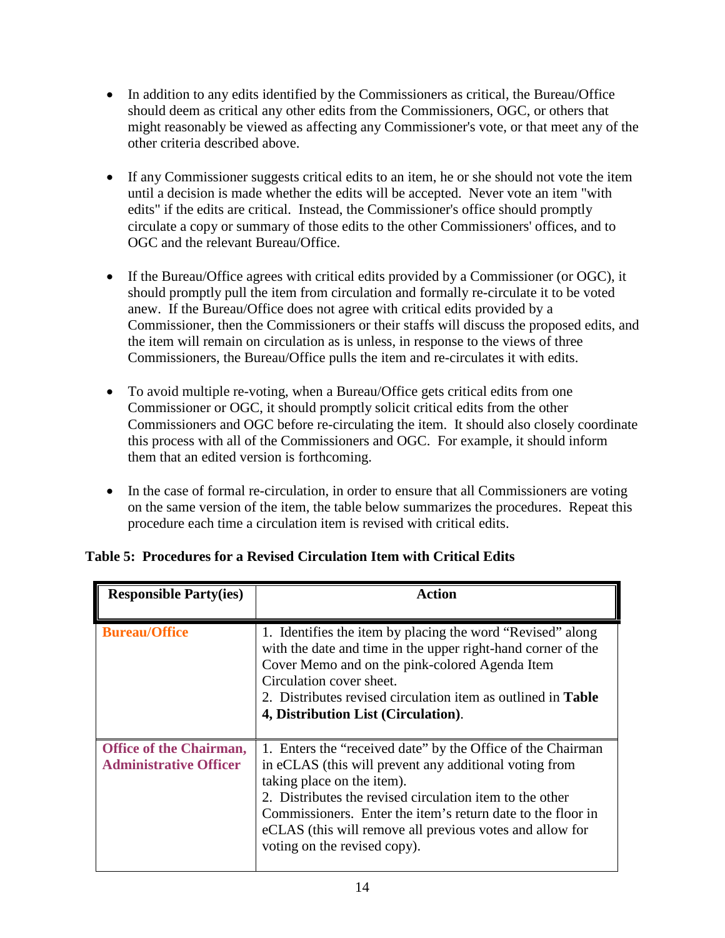- In addition to any edits identified by the Commissioners as critical, the Bureau/Office should deem as critical any other edits from the Commissioners, OGC, or others that might reasonably be viewed as affecting any Commissioner's vote, or that meet any of the other criteria described above.
- If any Commissioner suggests critical edits to an item, he or she should not vote the item until a decision is made whether the edits will be accepted. Never vote an item "with edits" if the edits are critical. Instead, the Commissioner's office should promptly circulate a copy or summary of those edits to the other Commissioners' offices, and to OGC and the relevant Bureau/Office.
- If the Bureau/Office agrees with critical edits provided by a Commissioner (or OGC), it should promptly pull the item from circulation and formally re-circulate it to be voted anew. If the Bureau/Office does not agree with critical edits provided by a Commissioner, then the Commissioners or their staffs will discuss the proposed edits, and the item will remain on circulation as is unless, in response to the views of three Commissioners, the Bureau/Office pulls the item and re-circulates it with edits.
- To avoid multiple re-voting, when a Bureau/Office gets critical edits from one Commissioner or OGC, it should promptly solicit critical edits from the other Commissioners and OGC before re-circulating the item. It should also closely coordinate this process with all of the Commissioners and OGC. For example, it should inform them that an edited version is forthcoming.
- In the case of formal re-circulation, in order to ensure that all Commissioners are voting on the same version of the item, the table below summarizes the procedures. Repeat this procedure each time a circulation item is revised with critical edits.

| <b>Responsible Party(ies)</b>                                   | <b>Action</b>                                                                                                                                                                                                                                                                                                                                                              |
|-----------------------------------------------------------------|----------------------------------------------------------------------------------------------------------------------------------------------------------------------------------------------------------------------------------------------------------------------------------------------------------------------------------------------------------------------------|
| <b>Bureau/Office</b>                                            | 1. Identifies the item by placing the word "Revised" along<br>with the date and time in the upper right-hand corner of the<br>Cover Memo and on the pink-colored Agenda Item<br>Circulation cover sheet.<br>2. Distributes revised circulation item as outlined in <b>Table</b><br>4, Distribution List (Circulation).                                                     |
| <b>Office of the Chairman,</b><br><b>Administrative Officer</b> | 1. Enters the "received date" by the Office of the Chairman<br>in eCLAS (this will prevent any additional voting from<br>taking place on the item).<br>2. Distributes the revised circulation item to the other<br>Commissioners. Enter the item's return date to the floor in<br>eCLAS (this will remove all previous votes and allow for<br>voting on the revised copy). |

# <span id="page-16-0"></span>**Table 5: Procedures for a Revised Circulation Item with Critical Edits**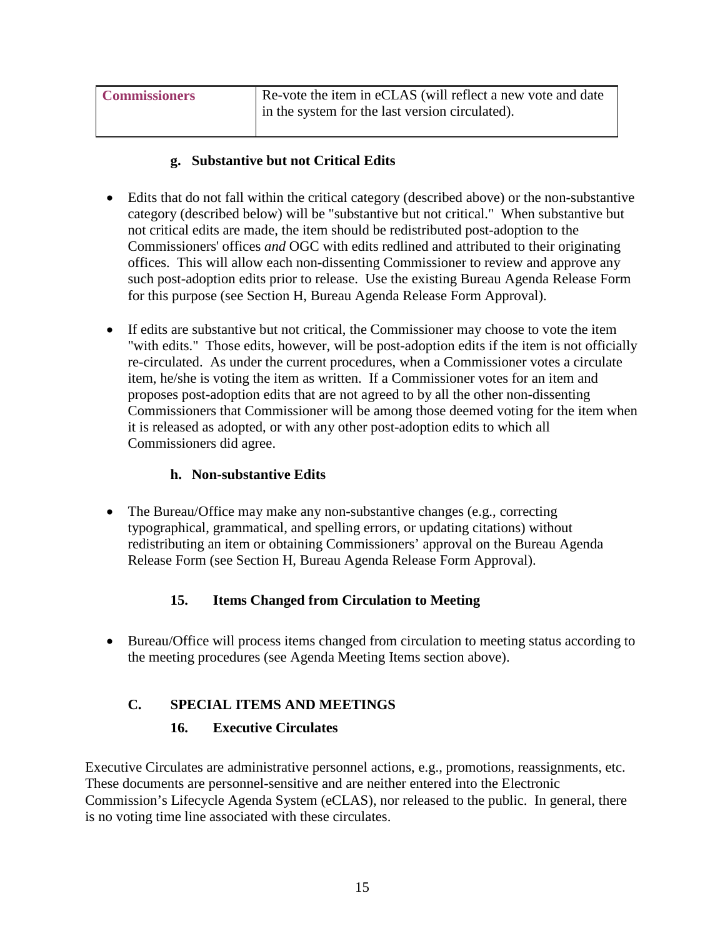| <b>Commissioners</b> | Re-vote the item in eCLAS (will reflect a new vote and date |
|----------------------|-------------------------------------------------------------|
|                      | in the system for the last version circulated).             |

#### **g. Substantive but not Critical Edits**

- Edits that do not fall within the critical category (described above) or the non-substantive category (described below) will be "substantive but not critical." When substantive but not critical edits are made, the item should be redistributed post-adoption to the Commissioners' offices *and* OGC with edits redlined and attributed to their originating offices. This will allow each non-dissenting Commissioner to review and approve any such post-adoption edits prior to release. Use the existing Bureau Agenda Release Form for this purpose (see Section H, Bureau Agenda Release Form Approval).
- If edits are substantive but not critical, the Commissioner may choose to vote the item "with edits." Those edits, however, will be post-adoption edits if the item is not officially re-circulated. As under the current procedures, when a Commissioner votes a circulate item, he/she is voting the item as written. If a Commissioner votes for an item and proposes post-adoption edits that are not agreed to by all the other non-dissenting Commissioners that Commissioner will be among those deemed voting for the item when it is released as adopted, or with any other post-adoption edits to which all Commissioners did agree.

#### **h. Non-substantive Edits**

• The Bureau/Office may make any non-substantive changes (e.g., correcting typographical, grammatical, and spelling errors, or updating citations) without redistributing an item or obtaining Commissioners' approval on the Bureau Agenda Release Form (see Section H, Bureau Agenda Release Form Approval).

# **15. Items Changed from Circulation to Meeting**

• Bureau/Office will process items changed from circulation to meeting status according to the meeting procedures (see Agenda Meeting Items section above).

# **C. SPECIAL ITEMS AND MEETINGS**

#### **16. Executive Circulates**

Executive Circulates are administrative personnel actions, e.g., promotions, reassignments, etc. These documents are personnel-sensitive and are neither entered into the Electronic Commission's Lifecycle Agenda System (eCLAS), nor released to the public. In general, there is no voting time line associated with these circulates.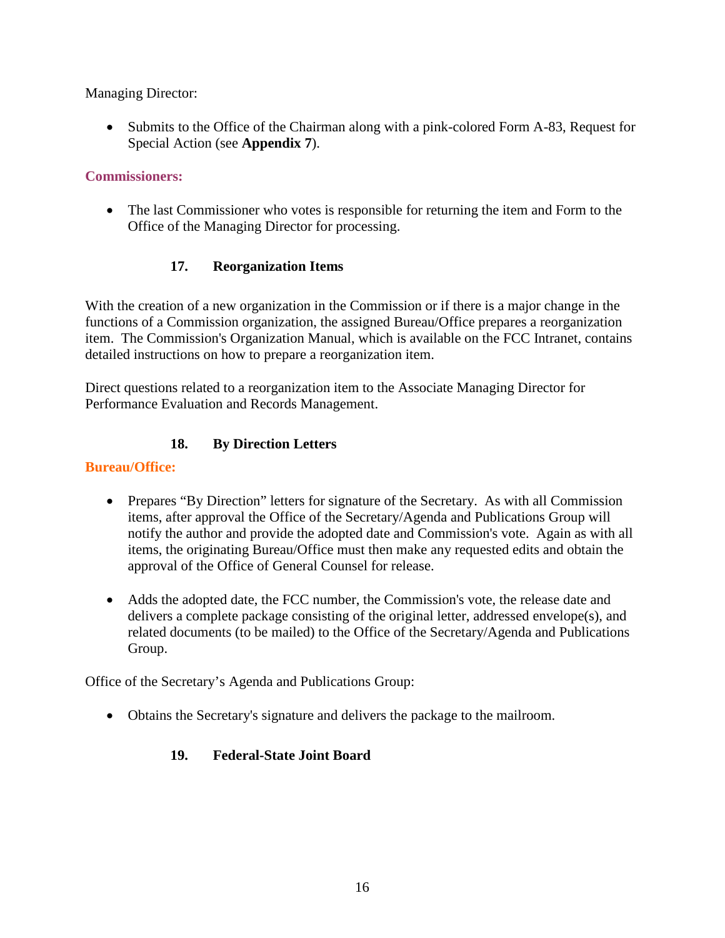Managing Director:

• Submits to the Office of the Chairman along with a pink-colored Form A-83, Request for Special Action (see **Appendix 7**).

#### **Commissioners:**

• The last Commissioner who votes is responsible for returning the item and Form to the Office of the Managing Director for processing.

# **17. Reorganization Items**

With the creation of a new organization in the Commission or if there is a major change in the functions of a Commission organization, the assigned Bureau/Office prepares a reorganization item. The Commission's Organization Manual, which is available on the FCC Intranet, contains detailed instructions on how to prepare a reorganization item.

Direct questions related to a reorganization item to the Associate Managing Director for Performance Evaluation and Records Management.

# **18. By Direction Letters**

#### **Bureau/Office:**

- Prepares "By Direction" letters for signature of the Secretary. As with all Commission items, after approval the Office of the Secretary/Agenda and Publications Group will notify the author and provide the adopted date and Commission's vote. Again as with all items, the originating Bureau/Office must then make any requested edits and obtain the approval of the Office of General Counsel for release.
- Adds the adopted date, the FCC number, the Commission's vote, the release date and delivers a complete package consisting of the original letter, addressed envelope(s), and related documents (to be mailed) to the Office of the Secretary/Agenda and Publications Group.

Office of the Secretary's Agenda and Publications Group:

• Obtains the Secretary's signature and delivers the package to the mailroom.

# **19. Federal-State Joint Board**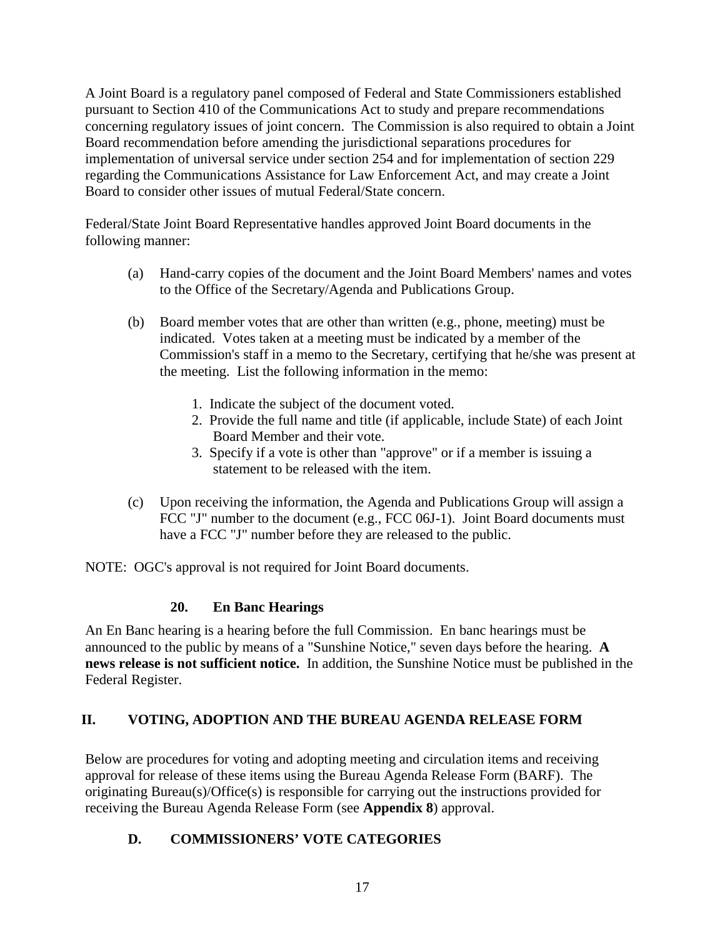A Joint Board is a regulatory panel composed of Federal and State Commissioners established pursuant to Section 410 of the Communications Act to study and prepare recommendations concerning regulatory issues of joint concern. The Commission is also required to obtain a Joint Board recommendation before amending the jurisdictional separations procedures for implementation of universal service under section 254 and for implementation of section 229 regarding the Communications Assistance for Law Enforcement Act, and may create a Joint Board to consider other issues of mutual Federal/State concern.

Federal/State Joint Board Representative handles approved Joint Board documents in the following manner:

- (a) Hand-carry copies of the document and the Joint Board Members' names and votes to the Office of the Secretary/Agenda and Publications Group.
- (b) Board member votes that are other than written (e.g., phone, meeting) must be indicated. Votes taken at a meeting must be indicated by a member of the Commission's staff in a memo to the Secretary, certifying that he/she was present at the meeting. List the following information in the memo:
	- 1. Indicate the subject of the document voted.
	- 2. Provide the full name and title (if applicable, include State) of each Joint Board Member and their vote.
	- 3. Specify if a vote is other than "approve" or if a member is issuing a statement to be released with the item.
- (c) Upon receiving the information, the Agenda and Publications Group will assign a FCC "J" number to the document (e.g., FCC 06J-1). Joint Board documents must have a FCC "J" number before they are released to the public.

NOTE: OGC's approval is not required for Joint Board documents.

# **20. En Banc Hearings**

An En Banc hearing is a hearing before the full Commission. En banc hearings must be announced to the public by means of a "Sunshine Notice," seven days before the hearing. **A news release is not sufficient notice.** In addition, the Sunshine Notice must be published in the Federal Register.

# **II. VOTING, ADOPTION AND THE BUREAU AGENDA RELEASE FORM**

Below are procedures for voting and adopting meeting and circulation items and receiving approval for release of these items using the Bureau Agenda Release Form (BARF). The originating Bureau(s)/Office(s) is responsible for carrying out the instructions provided for receiving the Bureau Agenda Release Form (see **Appendix 8**) approval.

# **D. COMMISSIONERS' VOTE CATEGORIES**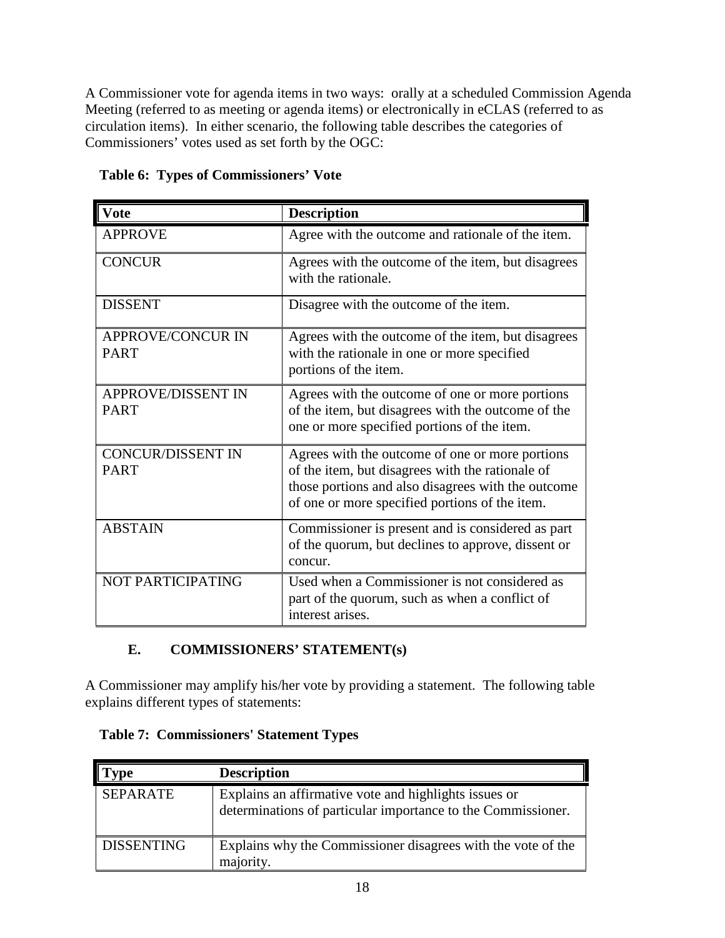A Commissioner vote for agenda items in two ways: orally at a scheduled Commission Agenda Meeting (referred to as meeting or agenda items) or electronically in eCLAS (referred to as circulation items). In either scenario, the following table describes the categories of Commissioners' votes used as set forth by the OGC:

| Vote                                     | <b>Description</b>                                                                                                                                                                                          |
|------------------------------------------|-------------------------------------------------------------------------------------------------------------------------------------------------------------------------------------------------------------|
| <b>APPROVE</b>                           | Agree with the outcome and rationale of the item.                                                                                                                                                           |
| <b>CONCUR</b>                            | Agrees with the outcome of the item, but disagrees<br>with the rationale.                                                                                                                                   |
| <b>DISSENT</b>                           | Disagree with the outcome of the item.                                                                                                                                                                      |
| <b>APPROVE/CONCUR IN</b><br><b>PART</b>  | Agrees with the outcome of the item, but disagrees<br>with the rationale in one or more specified<br>portions of the item.                                                                                  |
| <b>APPROVE/DISSENT IN</b><br><b>PART</b> | Agrees with the outcome of one or more portions<br>of the item, but disagrees with the outcome of the<br>one or more specified portions of the item.                                                        |
| <b>CONCUR/DISSENT IN</b><br><b>PART</b>  | Agrees with the outcome of one or more portions<br>of the item, but disagrees with the rationale of<br>those portions and also disagrees with the outcome<br>of one or more specified portions of the item. |
| <b>ABSTAIN</b>                           | Commissioner is present and is considered as part<br>of the quorum, but declines to approve, dissent or<br>concur.                                                                                          |
| NOT PARTICIPATING                        | Used when a Commissioner is not considered as<br>part of the quorum, such as when a conflict of<br>interest arises.                                                                                         |

<span id="page-20-0"></span> **Table 6: Types of Commissioners' Vote** 

# **E. COMMISSIONERS' STATEMENT(s)**

A Commissioner may amplify his/her vote by providing a statement. The following table explains different types of statements:

<span id="page-20-1"></span>

| <b>Table 7: Commissioners' Statement Types</b> |  |  |
|------------------------------------------------|--|--|
|------------------------------------------------|--|--|

| vpe               | <b>Description</b>                                                                                                    |
|-------------------|-----------------------------------------------------------------------------------------------------------------------|
| <b>SEPARATE</b>   | Explains an affirmative vote and highlights issues or<br>determinations of particular importance to the Commissioner. |
| <b>DISSENTING</b> | Explains why the Commissioner disagrees with the vote of the<br>majority.                                             |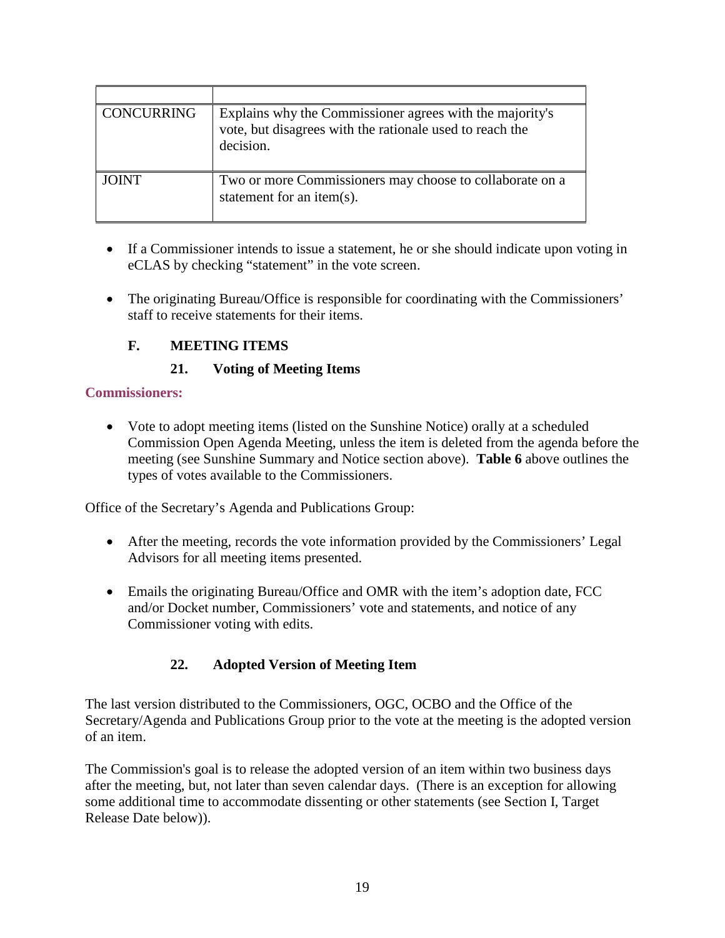| CONCURRING   | Explains why the Commissioner agrees with the majority's<br>vote, but disagrees with the rationale used to reach the<br>decision. |
|--------------|-----------------------------------------------------------------------------------------------------------------------------------|
| <b>JOINT</b> | Two or more Commissioners may choose to collaborate on a<br>statement for an item $(s)$ .                                         |

- If a Commissioner intends to issue a statement, he or she should indicate upon voting in eCLAS by checking "statement" in the vote screen.
- The originating Bureau/Office is responsible for coordinating with the Commissioners' staff to receive statements for their items.

# **F. MEETING ITEMS**

# **21. Voting of Meeting Items**

#### **Commissioners:**

• Vote to adopt meeting items (listed on the Sunshine Notice) orally at a scheduled Commission Open Agenda Meeting, unless the item is deleted from the agenda before the meeting (see Sunshine Summary and Notice section above). **Table 6** above outlines the types of votes available to the Commissioners.

Office of the Secretary's Agenda and Publications Group:

- After the meeting, records the vote information provided by the Commissioners' Legal Advisors for all meeting items presented.
- Emails the originating Bureau/Office and OMR with the item's adoption date, FCC and/or Docket number, Commissioners' vote and statements, and notice of any Commissioner voting with edits.

# **22. Adopted Version of Meeting Item**

The last version distributed to the Commissioners, OGC, OCBO and the Office of the Secretary/Agenda and Publications Group prior to the vote at the meeting is the adopted version of an item.

The Commission's goal is to release the adopted version of an item within two business days after the meeting, but, not later than seven calendar days. (There is an exception for allowing some additional time to accommodate dissenting or other statements (see Section I, Target Release Date below)).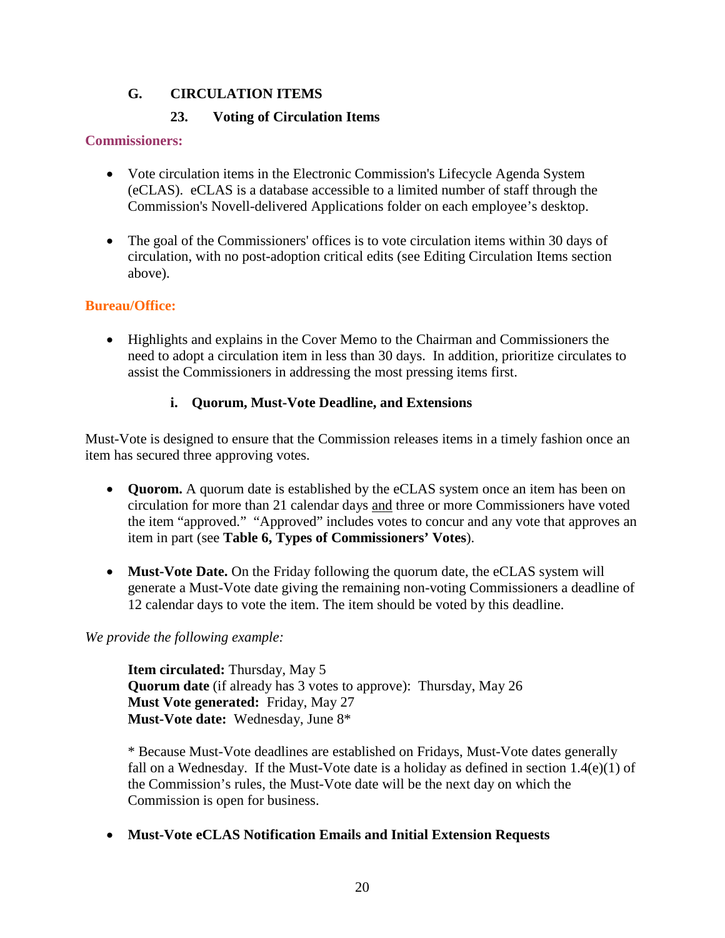# **G. CIRCULATION ITEMS**

# **23. Voting of Circulation Items**

#### **Commissioners:**

- Vote circulation items in the Electronic Commission's Lifecycle Agenda System (eCLAS). eCLAS is a database accessible to a limited number of staff through the Commission's Novell-delivered Applications folder on each employee's desktop.
- The goal of the Commissioners' offices is to vote circulation items within 30 days of circulation, with no post-adoption critical edits (see Editing Circulation Items section above).

#### **Bureau/Office:**

• Highlights and explains in the Cover Memo to the Chairman and Commissioners the need to adopt a circulation item in less than 30 days. In addition, prioritize circulates to assist the Commissioners in addressing the most pressing items first.

#### **i. Quorum, Must-Vote Deadline, and Extensions**

Must-Vote is designed to ensure that the Commission releases items in a timely fashion once an item has secured three approving votes.

- **Quorom.** A quorum date is established by the eCLAS system once an item has been on circulation for more than 21 calendar days and three or more Commissioners have voted the item "approved." "Approved" includes votes to concur and any vote that approves an item in part (see **Table 6, Types of Commissioners' Votes**).
- **Must-Vote Date.** On the Friday following the quorum date, the eCLAS system will generate a Must-Vote date giving the remaining non-voting Commissioners a deadline of 12 calendar days to vote the item. The item should be voted by this deadline.

*We provide the following example:*

**Item circulated:** Thursday, May 5 **Quorum date** (if already has 3 votes to approve): Thursday, May 26 **Must Vote generated:** Friday, May 27 **Must-Vote date:** Wednesday, June 8\*

\* Because Must-Vote deadlines are established on Fridays, Must-Vote dates generally fall on a Wednesday. If the Must-Vote date is a holiday as defined in section  $1.4(e)(1)$  of the Commission's rules, the Must-Vote date will be the next day on which the Commission is open for business.

#### • **Must-Vote eCLAS Notification Emails and Initial Extension Requests**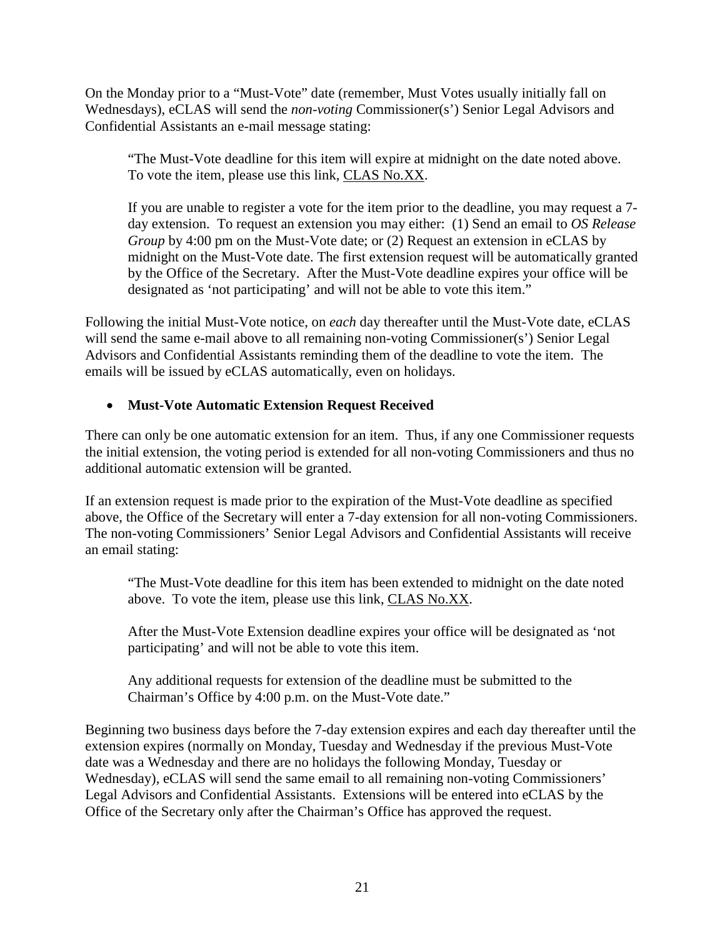On the Monday prior to a "Must-Vote" date (remember, Must Votes usually initially fall on Wednesdays), eCLAS will send the *non-voting* Commissioner(s') Senior Legal Advisors and Confidential Assistants an e-mail message stating:

"The Must-Vote deadline for this item will expire at midnight on the date noted above. To vote the item, please use this link, CLAS No.XX.

If you are unable to register a vote for the item prior to the deadline, you may request a 7 day extension. To request an extension you may either: (1) Send an email to *OS Release Group* by 4:00 pm on the Must-Vote date; or (2) Request an extension in eCLAS by midnight on the Must-Vote date. The first extension request will be automatically granted by the Office of the Secretary. After the Must-Vote deadline expires your office will be designated as 'not participating' and will not be able to vote this item."

Following the initial Must-Vote notice, on *each* day thereafter until the Must-Vote date, eCLAS will send the same e-mail above to all remaining non-voting Commissioner(s') Senior Legal Advisors and Confidential Assistants reminding them of the deadline to vote the item. The emails will be issued by eCLAS automatically, even on holidays.

#### • **Must-Vote Automatic Extension Request Received**

There can only be one automatic extension for an item. Thus, if any one Commissioner requests the initial extension, the voting period is extended for all non-voting Commissioners and thus no additional automatic extension will be granted.

If an extension request is made prior to the expiration of the Must-Vote deadline as specified above, the Office of the Secretary will enter a 7-day extension for all non-voting Commissioners. The non-voting Commissioners' Senior Legal Advisors and Confidential Assistants will receive an email stating:

"The Must-Vote deadline for this item has been extended to midnight on the date noted above. To vote the item, please use this link, CLAS No.XX.

After the Must-Vote Extension deadline expires your office will be designated as 'not participating' and will not be able to vote this item.

Any additional requests for extension of the deadline must be submitted to the Chairman's Office by 4:00 p.m. on the Must-Vote date."

Beginning two business days before the 7-day extension expires and each day thereafter until the extension expires (normally on Monday, Tuesday and Wednesday if the previous Must-Vote date was a Wednesday and there are no holidays the following Monday, Tuesday or Wednesday), eCLAS will send the same email to all remaining non-voting Commissioners' Legal Advisors and Confidential Assistants. Extensions will be entered into eCLAS by the Office of the Secretary only after the Chairman's Office has approved the request.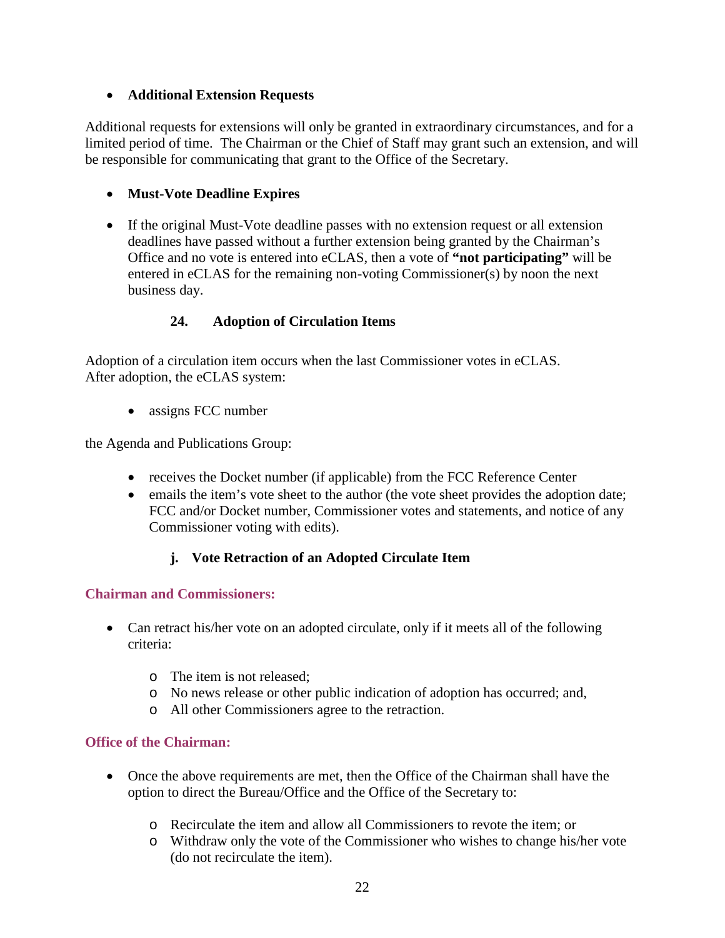#### • **Additional Extension Requests**

Additional requests for extensions will only be granted in extraordinary circumstances, and for a limited period of time. The Chairman or the Chief of Staff may grant such an extension, and will be responsible for communicating that grant to the Office of the Secretary.

# • **Must-Vote Deadline Expires**

• If the original Must-Vote deadline passes with no extension request or all extension deadlines have passed without a further extension being granted by the Chairman's Office and no vote is entered into eCLAS, then a vote of **"not participating"** will be entered in eCLAS for the remaining non-voting Commissioner(s) by noon the next business day.

# **24. Adoption of Circulation Items**

Adoption of a circulation item occurs when the last Commissioner votes in eCLAS. After adoption, the eCLAS system:

• assigns FCC number

the Agenda and Publications Group:

- receives the Docket number (if applicable) from the FCC Reference Center
- emails the item's vote sheet to the author (the vote sheet provides the adoption date; FCC and/or Docket number, Commissioner votes and statements, and notice of any Commissioner voting with edits).

#### **j. Vote Retraction of an Adopted Circulate Item**

#### **Chairman and Commissioners:**

- Can retract his/her vote on an adopted circulate, only if it meets all of the following criteria:
	- o The item is not released;
	- o No news release or other public indication of adoption has occurred; and,
	- o All other Commissioners agree to the retraction.

#### **Office of the Chairman:**

- Once the above requirements are met, then the Office of the Chairman shall have the option to direct the Bureau/Office and the Office of the Secretary to:
	- o Recirculate the item and allow all Commissioners to revote the item; or
	- o Withdraw only the vote of the Commissioner who wishes to change his/her vote (do not recirculate the item).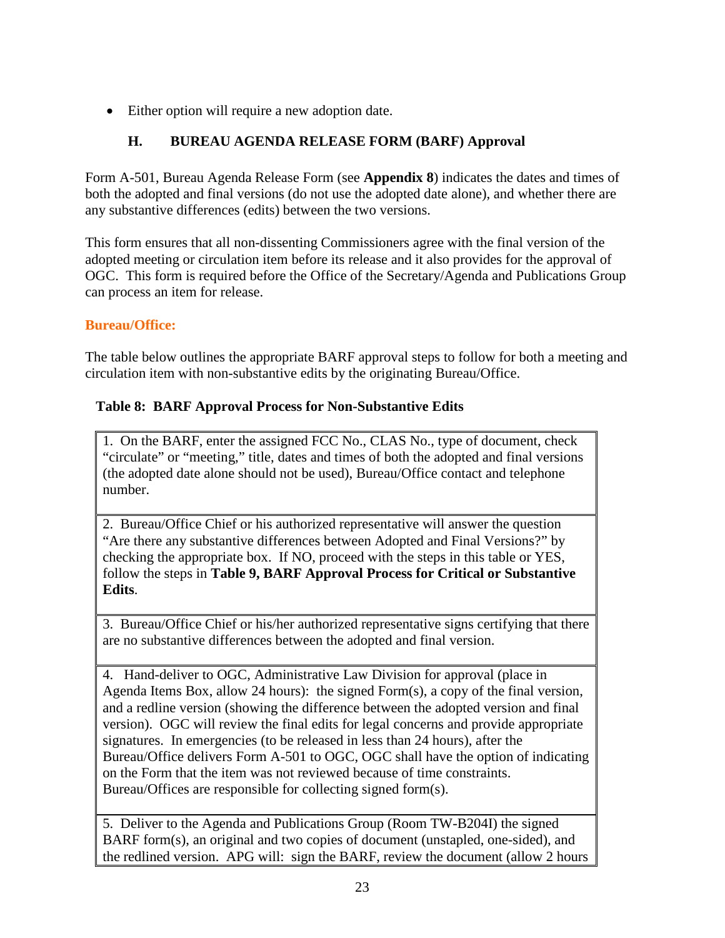• Either option will require a new adoption date.

# **H. BUREAU AGENDA RELEASE FORM (BARF) Approval**

Form A-501, Bureau Agenda Release Form (see **Appendix 8**) indicates the dates and times of both the adopted and final versions (do not use the adopted date alone), and whether there are any substantive differences (edits) between the two versions.

This form ensures that all non-dissenting Commissioners agree with the final version of the adopted meeting or circulation item before its release and it also provides for the approval of OGC. This form is required before the Office of the Secretary/Agenda and Publications Group can process an item for release.

# **Bureau/Office:**

The table below outlines the appropriate BARF approval steps to follow for both a meeting and circulation item with non-substantive edits by the originating Bureau/Office.

# <span id="page-25-0"></span> **Table 8: BARF Approval Process for Non-Substantive Edits**

1. On the BARF, enter the assigned FCC No., CLAS No., type of document, check "circulate" or "meeting," title, dates and times of both the adopted and final versions (the adopted date alone should not be used), Bureau/Office contact and telephone number.

2. Bureau/Office Chief or his authorized representative will answer the question "Are there any substantive differences between Adopted and Final Versions?" by checking the appropriate box. If NO, proceed with the steps in this table or YES, follow the steps in **Table 9, BARF Approval Process for Critical or Substantive Edits**.

3.Bureau/Office Chief or his/her authorized representative signs certifying that there are no substantive differences between the adopted and final version.

4. Hand-deliver to OGC, Administrative Law Division for approval (place in Agenda Items Box, allow 24 hours): the signed Form(s), a copy of the final version, and a redline version (showing the difference between the adopted version and final version). OGC will review the final edits for legal concerns and provide appropriate signatures. In emergencies (to be released in less than 24 hours), after the Bureau/Office delivers Form A-501 to OGC, OGC shall have the option of indicating on the Form that the item was not reviewed because of time constraints. Bureau/Offices are responsible for collecting signed form(s).

5. Deliver to the Agenda and Publications Group (Room TW-B204I) the signed BARF form(s), an original and two copies of document (unstapled, one-sided), and the redlined version. APG will: sign the BARF, review the document (allow 2 hours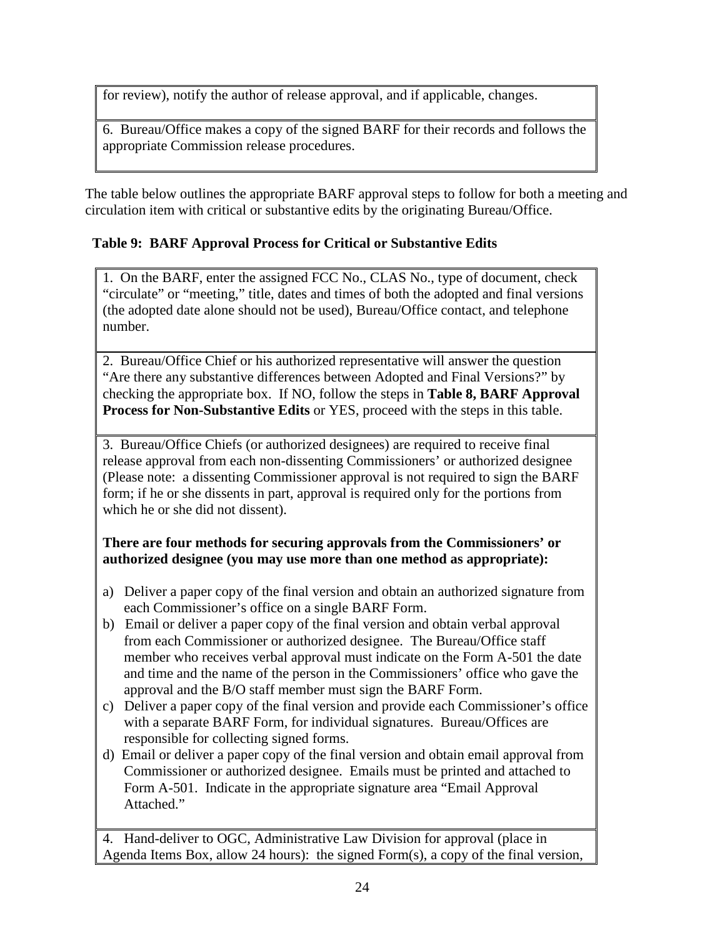for review), notify the author of release approval, and if applicable, changes.

6. Bureau/Office makes a copy of the signed BARF for their records and follows the appropriate Commission release procedures.

The table below outlines the appropriate BARF approval steps to follow for both a meeting and circulation item with critical or substantive edits by the originating Bureau/Office.

# <span id="page-26-0"></span> **Table 9: BARF Approval Process for Critical or Substantive Edits**

1. On the BARF, enter the assigned FCC No., CLAS No., type of document, check "circulate" or "meeting," title, dates and times of both the adopted and final versions (the adopted date alone should not be used), Bureau/Office contact, and telephone number.

2. Bureau/Office Chief or his authorized representative will answer the question "Are there any substantive differences between Adopted and Final Versions?" by checking the appropriate box. If NO, follow the steps in **Table 8, BARF Approval Process for Non-Substantive Edits** or YES, proceed with the steps in this table.

3.Bureau/Office Chiefs (or authorized designees) are required to receive final release approval from each non-dissenting Commissioners' or authorized designee (Please note: a dissenting Commissioner approval is not required to sign the BARF form; if he or she dissents in part, approval is required only for the portions from which he or she did not dissent).

#### **There are four methods for securing approvals from the Commissioners' or authorized designee (you may use more than one method as appropriate):**

- a) Deliver a paper copy of the final version and obtain an authorized signature from each Commissioner's office on a single BARF Form.
- b) Email or deliver a paper copy of the final version and obtain verbal approval from each Commissioner or authorized designee. The Bureau/Office staff member who receives verbal approval must indicate on the Form A-501 the date and time and the name of the person in the Commissioners' office who gave the approval and the B/O staff member must sign the BARF Form.
- c) Deliver a paper copy of the final version and provide each Commissioner's office with a separate BARF Form, for individual signatures. Bureau/Offices are responsible for collecting signed forms.
- d) Email or deliver a paper copy of the final version and obtain email approval from Commissioner or authorized designee. Emails must be printed and attached to Form A-501. Indicate in the appropriate signature area "Email Approval Attached."

4. Hand-deliver to OGC, Administrative Law Division for approval (place in Agenda Items Box, allow 24 hours): the signed Form(s), a copy of the final version,